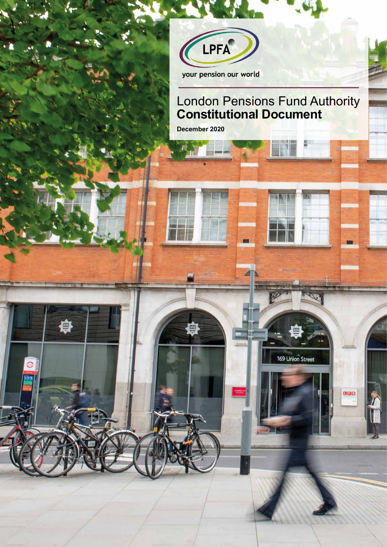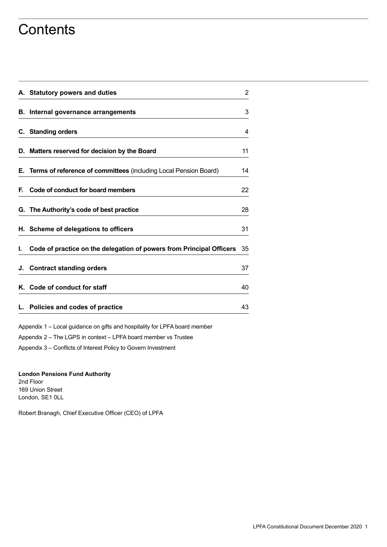# **Contents**

|    | A. Statutory powers and duties                                       | 2  |
|----|----------------------------------------------------------------------|----|
|    | <b>B.</b> Internal governance arrangements                           | 3  |
|    | C. Standing orders                                                   | 4  |
|    | D. Matters reserved for decision by the Board                        | 11 |
| Е. | Terms of reference of committees (including Local Pension Board)     | 14 |
| F. | Code of conduct for board members                                    | 22 |
|    | G. The Authority's code of best practice                             | 28 |
|    | H. Scheme of delegations to officers                                 | 31 |
| ı. | Code of practice on the delegation of powers from Principal Officers | 35 |
| J. | <b>Contract standing orders</b>                                      | 37 |
|    | K. Code of conduct for staff                                         | 40 |
|    | <b>Policies and codes of practice</b>                                | 43 |

Appendix 1 – Local guidance on gifts and hospitality for LPFA board member

Appendix 2 – The LGPS in context – LPFA board member vs Trustee

Appendix 3 – Conflicts of Interest Policy to Govern Investment

**London Pensions Fund Authority**  2nd Floor 169 Union Street London, SE1 0LL

Robert Branagh, Chief Executive Officer (CEO) of LPFA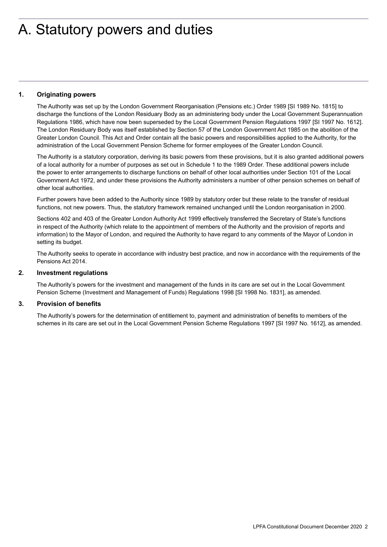# A. Statutory powers and duties

# **1. Originating powers**

The Authority was set up by the London Government Reorganisation (Pensions etc.) Order 1989 [SI 1989 No. 1815] to discharge the functions of the London Residuary Body as an administering body under the Local Government Superannuation Regulations 1986, which have now been superseded by the Local Government Pension Regulations 1997 [SI 1997 No. 1612]. The London Residuary Body was itself established by Section 57 of the London Government Act 1985 on the abolition of the Greater London Council. This Act and Order contain all the basic powers and responsibilities applied to the Authority, for the administration of the Local Government Pension Scheme for former employees of the Greater London Council.

The Authority is a statutory corporation, deriving its basic powers from these provisions, but it is also granted additional powers of a local authority for a number of purposes as set out in Schedule 1 to the 1989 Order. These additional powers include the power to enter arrangements to discharge functions on behalf of other local authorities under Section 101 of the Local Government Act 1972, and under these provisions the Authority administers a number of other pension schemes on behalf of other local authorities.

Further powers have been added to the Authority since 1989 by statutory order but these relate to the transfer of residual functions, not new powers. Thus, the statutory framework remained unchanged until the London reorganisation in 2000.

Sections 402 and 403 of the Greater London Authority Act 1999 effectively transferred the Secretary of State's functions in respect of the Authority (which relate to the appointment of members of the Authority and the provision of reports and information) to the Mayor of London, and required the Authority to have regard to any comments of the Mayor of London in setting its budget.

The Authority seeks to operate in accordance with industry best practice, and now in accordance with the requirements of the Pensions Act 2014.

### **2. Investment regulations**

The Authority's powers for the investment and management of the funds in its care are set out in the Local Government Pension Scheme (Investment and Management of Funds) Regulations 1998 [SI 1998 No. 1831], as amended.

### **3. Provision of benefits**

The Authority's powers for the determination of entitlement to, payment and administration of benefits to members of the schemes in its care are set out in the Local Government Pension Scheme Regulations 1997 [SI 1997 No. 1612], as amended.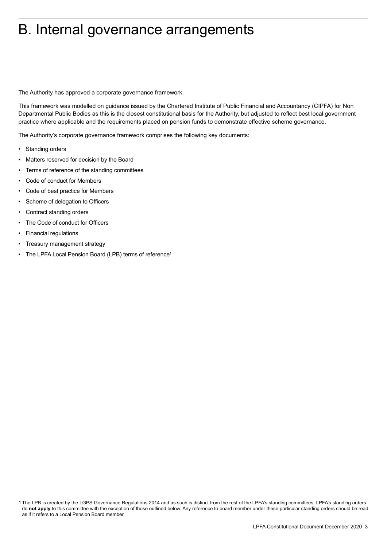# B. Internal governance arrangements

The Authority has approved a corporate governance framework.

This framework was modelled on guidance issued by the Chartered Institute of Public Financial and Accountancy (CIPFA) for Non Departmental Public Bodies as this is the closest constitutional basis for the Authority, but adjusted to reflect best local government practice where applicable and the requirements placed on pension funds to demonstrate effective scheme governance.

The Authority's corporate governance framework comprises the following key documents:

- Standing orders
- Matters reserved for decision by the Board
- Terms of reference of the standing committees
- Code of conduct for Members
- Code of best practice for Members
- Scheme of delegation to Officers
- Contract standing orders
- The Code of conduct for Officers
- Financial regulations
- Treasury management strategy
- The LPFA Local Pension Board (LPB) terms of reference<sup>1</sup>

1 The LPB is created by the LGPS Governance Regulations 2014 and as such is distinct from the rest of the LPFA's standing committees. LPFA's standing orders do **not apply** to this committee with the exception of those outlined below. Any reference to board member under these particular standing orders should be read as if it refers to a Local Pension Board member.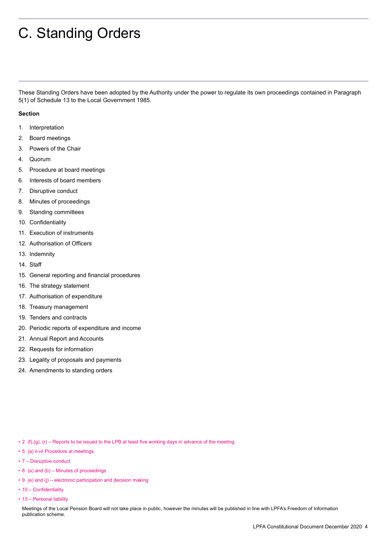# C. Standing Orders

These Standing Orders have been adopted by the Authority under the power to regulate its own proceedings contained in Paragraph 5(1) of Schedule 13 to the Local Government 1985.

#### **Section**

- 1. Interpretation
- 2. Board meetings
- 3. Powers of the Chair
- 4. Quorum
- 5. Procedure at board meetings
- 6. Interests of board members
- 7. Disruptive conduct
- 8. Minutes of proceedings
- 9. Standing committees
- 10. Confidentiality
- 11. Execution of instruments
- 12. Authorisation of Officers
- 13. Indemnity
- 14. Staff
- 15. General reporting and financial procedures
- 16. The strategy statement
- 17. Authorisation of expenditure
- 18. Treasury management
- 19. Tenders and contracts
- 20. Periodic reports of expenditure and income
- 21. Annual Report and Accounts
- 22. Requests for information
- 23. Legality of proposals and payments
- 24. Amendments to standing orders

- 2 (f),(g), (r) Reports to be issued to the LPB at least five working days in advance of the meeting.
- 5 (a) ii-vii Procedure at meetings
- 7 Disruptive conduct
- 8 (a) and (b) Minutes of proceedings
- 9 (e) and (j) electronic participation and decision making
- 10 Confidentiality
- 13 Personal liability

Meetings of the Local Pension Board will not take place in public, however the minutes will be published in line with LPFA's Freedom of Information publication scheme.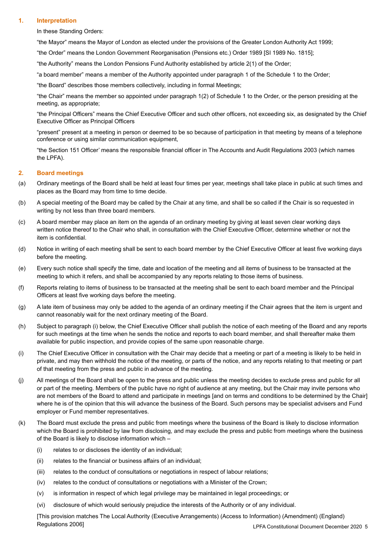#### **1. Interpretation**

In these Standing Orders:

"the Mayor" means the Mayor of London as elected under the provisions of the Greater London Authority Act 1999;

"the Order" means the London Government Reorganisation (Pensions etc.) Order 1989 [SI 1989 No. 1815];

"the Authority" means the London Pensions Fund Authority established by article 2(1) of the Order;

"a board member" means a member of the Authority appointed under paragraph 1 of the Schedule 1 to the Order;

"the Board" describes those members collectively, including in formal Meetings;

"the Chair" means the member so appointed under paragraph 1(2) of Schedule 1 to the Order, or the person presiding at the meeting, as appropriate;

"the Principal Officers" means the Chief Executive Officer and such other officers, not exceeding six, as designated by the Chief Executive Officer as Principal Officers

"present" present at a meeting in person or deemed to be so because of participation in that meeting by means of a telephone conference or using similar communication equipment,

"the Section 151 Officer' means the responsible financial officer in The Accounts and Audit Regulations 2003 (which names the LPFA).

#### **2. Board meetings**

- (a) Ordinary meetings of the Board shall be held at least four times per year, meetings shall take place in public at such times and places as the Board may from time to time decide.
- (b) A special meeting of the Board may be called by the Chair at any time, and shall be so called if the Chair is so requested in writing by not less than three board members.
- (c) A board member may place an item on the agenda of an ordinary meeting by giving at least seven clear working days written notice thereof to the Chair who shall, in consultation with the Chief Executive Officer, determine whether or not the item is confidential.
- (d) Notice in writing of each meeting shall be sent to each board member by the Chief Executive Officer at least five working days before the meeting.
- (e) Every such notice shall specify the time, date and location of the meeting and all items of business to be transacted at the meeting to which it refers, and shall be accompanied by any reports relating to those items of business.
- (f) Reports relating to items of business to be transacted at the meeting shall be sent to each board member and the Principal Officers at least five working days before the meeting.
- (g) A late item of business may only be added to the agenda of an ordinary meeting if the Chair agrees that the item is urgent and cannot reasonably wait for the next ordinary meeting of the Board.
- (h) Subject to paragraph (i) below, the Chief Executive Officer shall publish the notice of each meeting of the Board and any reports for such meetings at the time when he sends the notice and reports to each board member, and shall thereafter make them available for public inspection, and provide copies of the same upon reasonable charge.
- (i) The Chief Executive Officer in consultation with the Chair may decide that a meeting or part of a meeting is likely to be held in private, and may then withhold the notice of the meeting, or parts of the notice, and any reports relating to that meeting or part of that meeting from the press and public in advance of the meeting.
- (j) All meetings of the Board shall be open to the press and public unless the meeting decides to exclude press and public for all or part of the meeting. Members of the public have no right of audience at any meeting, but the Chair may invite persons who are not members of the Board to attend and participate in meetings [and on terms and conditions to be determined by the Chair] where he is of the opinion that this will advance the business of the Board. Such persons may be specialist advisers and Fund employer or Fund member representatives.
- (k) The Board must exclude the press and public from meetings where the business of the Board is likely to disclose information which the Board is prohibited by law from disclosing, and may exclude the press and public from meetings where the business of the Board is likely to disclose information which –
	- (i) relates to or discloses the identity of an individual;
	- (ii) relates to the financial or business affairs of an individual;
	- (iii) relates to the conduct of consultations or negotiations in respect of labour relations;
	- (iv) relates to the conduct of consultations or negotiations with a Minister of the Crown;
	- (v) is information in respect of which legal privilege may be maintained in legal proceedings; or
	- (vi) disclosure of which would seriously prejudice the interests of the Authority or of any individual.

LPFA Constitutional Document December 2020 5 [This provision matches The Local Authority (Executive Arrangements) (Access to Information) (Amendment) (England) Regulations 2006]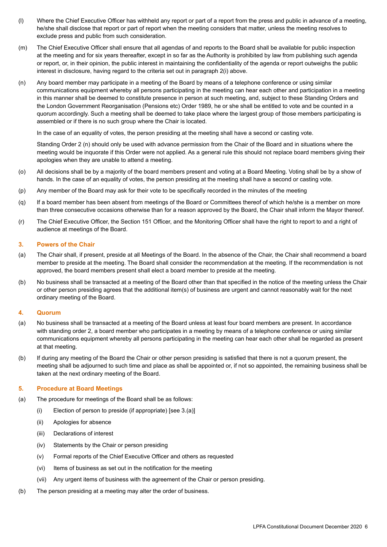- (l) Where the Chief Executive Officer has withheld any report or part of a report from the press and public in advance of a meeting, he/she shall disclose that report or part of report when the meeting considers that matter, unless the meeting resolves to exclude press and public from such consideration.
- (m) The Chief Executive Officer shall ensure that all agendas of and reports to the Board shall be available for public inspection at the meeting and for six years thereafter, except in so far as the Authority is prohibited by law from publishing such agenda or report, or, in their opinion, the public interest in maintaining the confidentiality of the agenda or report outweighs the public interest in disclosure, having regard to the criteria set out in paragraph 2(i) above.
- (n) Any board member may participate in a meeting of the Board by means of a telephone conference or using similar communications equipment whereby all persons participating in the meeting can hear each other and participation in a meeting in this manner shall be deemed to constitute presence in person at such meeting, and, subject to these Standing Orders and the London Government Reorganisation (Pensions etc) Order 1989, he or she shall be entitled to vote and be counted in a quorum accordingly. Such a meeting shall be deemed to take place where the largest group of those members participating is assembled or if there is no such group where the Chair is located.

In the case of an equality of votes, the person presiding at the meeting shall have a second or casting vote.

Standing Order 2 (n) should only be used with advance permission from the Chair of the Board and in situations where the meeting would be inquorate if this Order were not applied. As a general rule this should not replace board members giving their apologies when they are unable to attend a meeting.

- (o) All decisions shall be by a majority of the board members present and voting at a Board Meeting. Voting shall be by a show of hands. In the case of an equality of votes, the person presiding at the meeting shall have a second or casting vote.
- (p) Any member of the Board may ask for their vote to be specifically recorded in the minutes of the meeting
- (q) If a board member has been absent from meetings of the Board or Committees thereof of which he/she is a member on more than three consecutive occasions otherwise than for a reason approved by the Board, the Chair shall inform the Mayor thereof.
- (r) The Chief Executive Officer, the Section 151 Officer, and the Monitoring Officer shall have the right to report to and a right of audience at meetings of the Board.

#### **3. Powers of the Chair**

- (a) The Chair shall, if present, preside at all Meetings of the Board. In the absence of the Chair, the Chair shall recommend a board member to preside at the meeting. The Board shall consider the recommendation at the meeting. If the recommendation is not approved, the board members present shall elect a board member to preside at the meeting.
- (b) No business shall be transacted at a meeting of the Board other than that specified in the notice of the meeting unless the Chair or other person presiding agrees that the additional item(s) of business are urgent and cannot reasonably wait for the next ordinary meeting of the Board.

#### **4. Quorum**

- (a) No business shall be transacted at a meeting of the Board unless at least four board members are present. In accordance with standing order 2, a board member who participates in a meeting by means of a telephone conference or using similar communications equipment whereby all persons participating in the meeting can hear each other shall be regarded as present at that meeting.
- (b) If during any meeting of the Board the Chair or other person presiding is satisfied that there is not a quorum present, the meeting shall be adjourned to such time and place as shall be appointed or, if not so appointed, the remaining business shall be taken at the next ordinary meeting of the Board.

#### **5. Procedure at Board Meetings**

- (a) The procedure for meetings of the Board shall be as follows:
	- (i) Election of person to preside (if appropriate) [see 3.(a)]
	- (ii) Apologies for absence
	- (iii) Declarations of interest
	- (iv) Statements by the Chair or person presiding
	- (v) Formal reports of the Chief Executive Officer and others as requested
	- (vi) Items of business as set out in the notification for the meeting
	- (vii) Any urgent items of business with the agreement of the Chair or person presiding.
- (b) The person presiding at a meeting may alter the order of business.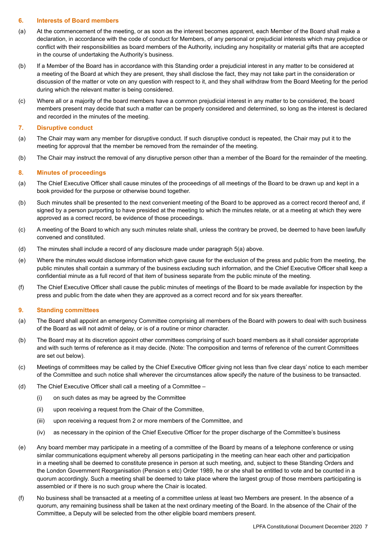#### **6. Interests of Board members**

- (a) At the commencement of the meeting, or as soon as the interest becomes apparent, each Member of the Board shall make a declaration, in accordance with the code of conduct for Members, of any personal or prejudicial interests which may prejudice or conflict with their responsibilities as board members of the Authority, including any hospitality or material gifts that are accepted in the course of undertaking the Authority's business.
- (b) If a Member of the Board has in accordance with this Standing order a prejudicial interest in any matter to be considered at a meeting of the Board at which they are present, they shall disclose the fact, they may not take part in the consideration or discussion of the matter or vote on any question with respect to it, and they shall withdraw from the Board Meeting for the period during which the relevant matter is being considered.
- (c) Where all or a majority of the board members have a common prejudicial interest in any matter to be considered, the board members present may decide that such a matter can be properly considered and determined, so long as the interest is declared and recorded in the minutes of the meeting.

#### **7. Disruptive conduct**

- (a) The Chair may warn any member for disruptive conduct. If such disruptive conduct is repeated, the Chair may put it to the meeting for approval that the member be removed from the remainder of the meeting.
- (b) The Chair may instruct the removal of any disruptive person other than a member of the Board for the remainder of the meeting.

### **8. Minutes of proceedings**

- (a) The Chief Executive Officer shall cause minutes of the proceedings of all meetings of the Board to be drawn up and kept in a book provided for the purpose or otherwise bound together.
- (b) Such minutes shall be presented to the next convenient meeting of the Board to be approved as a correct record thereof and, if signed by a person purporting to have presided at the meeting to which the minutes relate, or at a meeting at which they were approved as a correct record, be evidence of those proceedings.
- (c) A meeting of the Board to which any such minutes relate shall, unless the contrary be proved, be deemed to have been lawfully convened and constituted.
- (d) The minutes shall include a record of any disclosure made under paragraph 5(a) above.
- (e) Where the minutes would disclose information which gave cause for the exclusion of the press and public from the meeting, the public minutes shall contain a summary of the business excluding such information, and the Chief Executive Officer shall keep a confidential minute as a full record of that item of business separate from the public minute of the meeting.
- (f) The Chief Executive Officer shall cause the public minutes of meetings of the Board to be made available for inspection by the press and public from the date when they are approved as a correct record and for six years thereafter.

#### **9. Standing committees**

- (a) The Board shall appoint an emergency Committee comprising all members of the Board with powers to deal with such business of the Board as will not admit of delay, or is of a routine or minor character.
- (b) The Board may at its discretion appoint other committees comprising of such board members as it shall consider appropriate and with such terms of reference as it may decide. (Note: The composition and terms of reference of the current Committees are set out below).
- (c) Meetings of committees may be called by the Chief Executive Officer giving not less than five clear days' notice to each member of the Committee and such notice shall wherever the circumstances allow specify the nature of the business to be transacted.
- (d) The Chief Executive Officer shall call a meeting of a Committee
	- (i) on such dates as may be agreed by the Committee
	- (ii) upon receiving a request from the Chair of the Committee,
	- (iii) upon receiving a request from 2 or more members of the Committee, and
	- (iv) as necessary in the opinion of the Chief Executive Officer for the proper discharge of the Committee's business
- (e) Any board member may participate in a meeting of a committee of the Board by means of a telephone conference or using similar communications equipment whereby all persons participating in the meeting can hear each other and participation in a meeting shall be deemed to constitute presence in person at such meeting, and, subject to these Standing Orders and the London Government Reorganisation (Pension s etc) Order 1989, he or she shall be entitled to vote and be counted in a quorum accordingly. Such a meeting shall be deemed to take place where the largest group of those members participating is assembled or if there is no such group where the Chair is located.
- (f) No business shall be transacted at a meeting of a committee unless at least two Members are present. In the absence of a quorum, any remaining business shall be taken at the next ordinary meeting of the Board. In the absence of the Chair of the Committee, a Deputy will be selected from the other eligible board members present.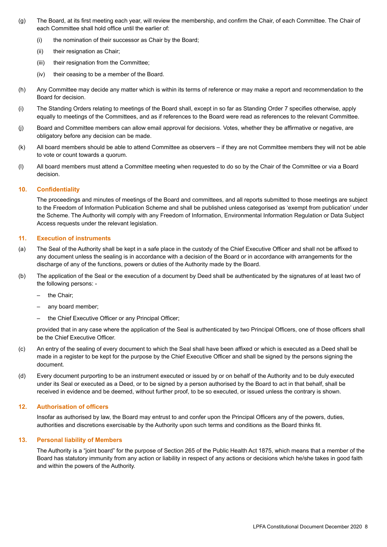- (g) The Board, at its first meeting each year, will review the membership, and confirm the Chair, of each Committee. The Chair of each Committee shall hold office until the earlier of:
	- (i) the nomination of their successor as Chair by the Board;
	- (ii) their resignation as Chair;
	- (iii) their resignation from the Committee;
	- (iv) their ceasing to be a member of the Board.
- (h) Any Committee may decide any matter which is within its terms of reference or may make a report and recommendation to the Board for decision.
- (i) The Standing Orders relating to meetings of the Board shall, except in so far as Standing Order 7 specifies otherwise, apply equally to meetings of the Committees, and as if references to the Board were read as references to the relevant Committee.
- (j) Board and Committee members can allow email approval for decisions. Votes, whether they be affirmative or negative, are obligatory before any decision can be made.
- (k) All board members should be able to attend Committee as observers if they are not Committee members they will not be able to vote or count towards a quorum.
- (l) All board members must attend a Committee meeting when requested to do so by the Chair of the Committee or via a Board decision.

#### **10. Confidentiality**

The proceedings and minutes of meetings of the Board and committees, and all reports submitted to those meetings are subject to the Freedom of Information Publication Scheme and shall be published unless categorised as 'exempt from publication' under the Scheme. The Authority will comply with any Freedom of Information, Environmental Information Regulation or Data Subject Access requests under the relevant legislation.

#### **11. Execution of instruments**

- (a) The Seal of the Authority shall be kept in a safe place in the custody of the Chief Executive Officer and shall not be affixed to any document unless the sealing is in accordance with a decision of the Board or in accordance with arrangements for the discharge of any of the functions, powers or duties of the Authority made by the Board.
- (b) The application of the Seal or the execution of a document by Deed shall be authenticated by the signatures of at least two of the following persons:
	- the Chair:
	- any board member;
	- the Chief Executive Officer or any Principal Officer;

provided that in any case where the application of the Seal is authenticated by two Principal Officers, one of those officers shall be the Chief Executive Officer.

- (c) An entry of the sealing of every document to which the Seal shall have been affixed or which is executed as a Deed shall be made in a register to be kept for the purpose by the Chief Executive Officer and shall be signed by the persons signing the document.
- (d) Every document purporting to be an instrument executed or issued by or on behalf of the Authority and to be duly executed under its Seal or executed as a Deed, or to be signed by a person authorised by the Board to act in that behalf, shall be received in evidence and be deemed, without further proof, to be so executed, or issued unless the contrary is shown.

#### **12. Authorisation of officers**

Insofar as authorised by law, the Board may entrust to and confer upon the Principal Officers any of the powers, duties, authorities and discretions exercisable by the Authority upon such terms and conditions as the Board thinks fit.

#### **13. Personal liability of Members**

The Authority is a "joint board" for the purpose of Section 265 of the Public Health Act 1875, which means that a member of the Board has statutory immunity from any action or liability in respect of any actions or decisions which he/she takes in good faith and within the powers of the Authority.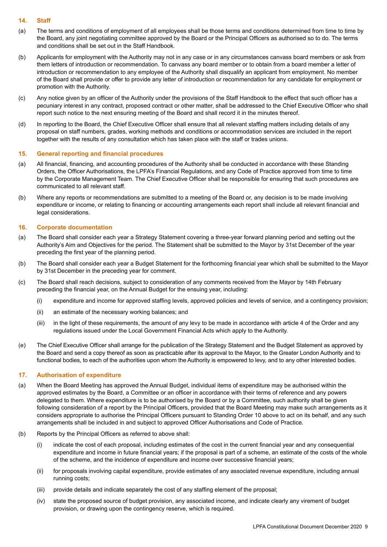### **14. Staff**

- (a) The terms and conditions of employment of all employees shall be those terms and conditions determined from time to time by the Board, any joint negotiating committee approved by the Board or the Principal Officers as authorised so to do. The terms and conditions shall be set out in the Staff Handbook.
- (b) Applicants for employment with the Authority may not in any case or in any circumstances canvass board members or ask from them letters of introduction or recommendation. To canvass any board member or to obtain from a board member a letter of introduction or recommendation to any employee of the Authority shall disqualify an applicant from employment. No member of the Board shall provide or offer to provide any letter of introduction or recommendation for any candidate for employment or promotion with the Authority.
- (c) Any notice given by an officer of the Authority under the provisions of the Staff Handbook to the effect that such officer has a pecuniary interest in any contract, proposed contract or other matter, shall be addressed to the Chief Executive Officer who shall report such notice to the next ensuring meeting of the Board and shall record it in the minutes thereof.
- (d) In reporting to the Board, the Chief Executive Officer shall ensure that all relevant staffing matters including details of any proposal on staff numbers, grades, working methods and conditions or accommodation services are included in the report together with the results of any consultation which has taken place with the staff or trades unions.

### **15. General reporting and financial procedures**

- (a) All financial, financing, and accounting procedures of the Authority shall be conducted in accordance with these Standing Orders, the Officer Authorisations, the LPFA's Financial Regulations, and any Code of Practice approved from time to time by the Corporate Management Team. The Chief Executive Officer shall be responsible for ensuring that such procedures are communicated to all relevant staff.
- (b) Where any reports or recommendations are submitted to a meeting of the Board or, any decision is to be made involving expenditure or income, or relating to financing or accounting arrangements each report shall include all relevant financial and legal considerations.

#### **16. Corporate documentation**

- (a) The Board shall consider each year a Strategy Statement covering a three-year forward planning period and setting out the Authority's Aim and Objectives for the period. The Statement shall be submitted to the Mayor by 31st December of the year preceding the first year of the planning period.
- (b) The Board shall consider each year a Budget Statement for the forthcoming financial year which shall be submitted to the Mayor by 31st December in the preceding year for comment.
- (c) The Board shall reach decisions, subject to consideration of any comments received from the Mayor by 14th February preceding the financial year, on the Annual Budget for the ensuing year, including:
	- (i) expenditure and income for approved staffing levels, approved policies and levels of service, and a contingency provision;
	- (ii) an estimate of the necessary working balances; and
	- (iii) in the light of these requirements, the amount of any levy to be made in accordance with article 4 of the Order and any regulations issued under the Local Government Financial Acts which apply to the Authority.
- (e) The Chief Executive Officer shall arrange for the publication of the Strategy Statement and the Budget Statement as approved by the Board and send a copy thereof as soon as practicable after its approval to the Mayor, to the Greater London Authority and to functional bodies, to each of the authorities upon whom the Authority is empowered to levy, and to any other interested bodies.

### **17. Authorisation of expenditure**

- (a) When the Board Meeting has approved the Annual Budget, individual items of expenditure may be authorised within the approved estimates by the Board, a Committee or an officer in accordance with their terms of reference and any powers delegated to them. Where expenditure is to be authorised by the Board or by a Committee, such authority shall be given following consideration of a report by the Principal Officers, provided that the Board Meeting may make such arrangements as it considers appropriate to authorise the Principal Officers pursuant to Standing Order 10 above to act on its behalf, and any such arrangements shall be included in and subject to approved Officer Authorisations and Code of Practice.
- (b) Reports by the Principal Officers as referred to above shall:
	- (i) indicate the cost of each proposal, including estimates of the cost in the current financial year and any consequential expenditure and income in future financial years; if the proposal is part of a scheme, an estimate of the costs of the whole of the scheme, and the incidence of expenditure and income over successive financial years;
	- (ii) for proposals involving capital expenditure, provide estimates of any associated revenue expenditure, including annual running costs;
	- (iii) provide details and indicate separately the cost of any staffing element of the proposal;
	- (iv) state the proposed source of budget provision, any associated income, and indicate clearly any virement of budget provision, or drawing upon the contingency reserve, which is required.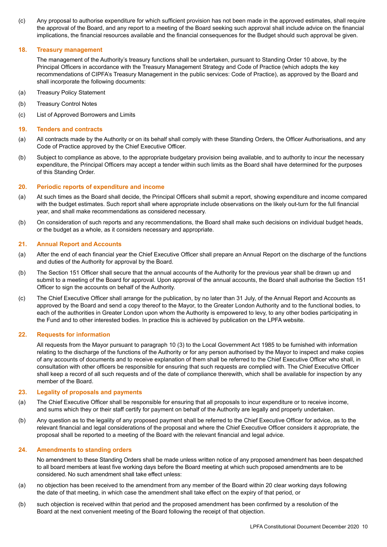(c) Any proposal to authorise expenditure for which sufficient provision has not been made in the approved estimates, shall require the approval of the Board, and any report to a meeting of the Board seeking such approval shall include advice on the financial implications, the financial resources available and the financial consequences for the Budget should such approval be given.

#### **18. Treasury management**

The management of the Authority's treasury functions shall be undertaken, pursuant to Standing Order 10 above, by the Principal Officers in accordance with the Treasury Management Strategy and Code of Practice (which adopts the key recommendations of CIPFA's Treasury Management in the public services: Code of Practice), as approved by the Board and shall incorporate the following documents:

- (a) Treasury Policy Statement
- (b) Treasury Control Notes
- (c) List of Approved Borrowers and Limits

#### **19. Tenders and contracts**

- (a) All contracts made by the Authority or on its behalf shall comply with these Standing Orders, the Officer Authorisations, and any Code of Practice approved by the Chief Executive Officer.
- (b) Subject to compliance as above, to the appropriate budgetary provision being available, and to authority to incur the necessary expenditure, the Principal Officers may accept a tender within such limits as the Board shall have determined for the purposes of this Standing Order.

#### **20. Periodic reports of expenditure and income**

- (a) At such times as the Board shall decide, the Principal Officers shall submit a report, showing expenditure and income compared with the budget estimates. Such report shall where appropriate include observations on the likely out-turn for the full financial year, and shall make recommendations as considered necessary.
- (b) On consideration of such reports and any recommendations, the Board shall make such decisions on individual budget heads, or the budget as a whole, as it considers necessary and appropriate.

#### **21. Annual Report and Accounts**

- (a) After the end of each financial year the Chief Executive Officer shall prepare an Annual Report on the discharge of the functions and duties of the Authority for approval by the Board.
- (b) The Section 151 Officer shall secure that the annual accounts of the Authority for the previous year shall be drawn up and submit to a meeting of the Board for approval. Upon approval of the annual accounts, the Board shall authorise the Section 151 Officer to sign the accounts on behalf of the Authority.
- (c) The Chief Executive Officer shall arrange for the publication, by no later than 31 July, of the Annual Report and Accounts as approved by the Board and send a copy thereof to the Mayor, to the Greater London Authority and to the functional bodies, to each of the authorities in Greater London upon whom the Authority is empowered to levy, to any other bodies participating in the Fund and to other interested bodies. In practice this is achieved by publication on the LPFA website.

#### **22. Requests for information**

All requests from the Mayor pursuant to paragraph 10 (3) to the Local Government Act 1985 to be furnished with information relating to the discharge of the functions of the Authority or for any person authorised by the Mayor to inspect and make copies of any accounts of documents and to receive explanation of them shall be referred to the Chief Executive Officer who shall, in consultation with other officers be responsible for ensuring that such requests are complied with. The Chief Executive Officer shall keep a record of all such requests and of the date of compliance therewith, which shall be available for inspection by any member of the Board.

#### **23. Legality of proposals and payments**

- (a) The Chief Executive Officer shall be responsible for ensuring that all proposals to incur expenditure or to receive income, and sums which they or their staff certify for payment on behalf of the Authority are legally and properly undertaken.
- (b) Any question as to the legality of any proposed payment shall be referred to the Chief Executive Officer for advice, as to the relevant financial and legal considerations of the proposal and where the Chief Executive Officer considers it appropriate, the proposal shall be reported to a meeting of the Board with the relevant financial and legal advice.

#### **24. Amendments to standing orders**

No amendment to these Standing Orders shall be made unless written notice of any proposed amendment has been despatched to all board members at least five working days before the Board meeting at which such proposed amendments are to be considered. No such amendment shall take effect unless:

- (a) no objection has been received to the amendment from any member of the Board within 20 clear working days following the date of that meeting, in which case the amendment shall take effect on the expiry of that period, or
- (b) such objection is received within that period and the proposed amendment has been confirmed by a resolution of the Board at the next convenient meeting of the Board following the receipt of that objection.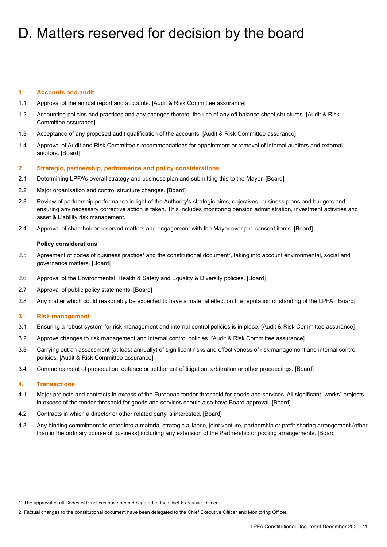# D. Matters reserved for decision by the board

#### **1. Accounts and audit**

- 1.1 Approval of the annual report and accounts. [Audit & Risk Committee assurance]
- 1.2 Accounting policies and practices and any changes thereto; the use of any off balance sheet structures. [Audit & Risk Committee assurance]
- 1.3 Acceptance of any proposed audit qualification of the accounts. [Audit & Risk Committee assurance]
- 1.4 Approval of Audit and Risk Committee's recommendations for appointment or removal of internal auditors and external auditors. [Board]

## **2. Strategic, partnership, performance and policy considerations**

- 2.1 Determining LPFA's overall strategy and business plan and submitting this to the Mayor. [Board]
- 2.2 Major organisation and control structure changes. [Board]
- 2.3 Review of partnership performance in light of the Authority's strategic aims, objectives, business plans and budgets and ensuring any necessary corrective action is taken. This includes monitoring pension administration, investment activities and asset & Liability risk management.
- 2.4 Approval of shareholder reserved matters and engagement with the Mayor over pre-consent items. [Board]

#### **Policy considerations**

- 2.5 Agreement of codes of business practice<sup>1</sup> and the constitutional document<sup>2</sup>, taking into account environmental, social and governance matters. [Board]
- 2.6 Approval of the Environmental, Health & Safety and Equality & Diversity policies. [Board]
- 2.7 Approval of public policy statements. [Board]
- 2.8 Any matter which could reasonably be expected to have a material effect on the reputation or standing of the LPFA. [Board]

#### **3. Risk management**

- 3.1 Ensuring a robust system for risk management and internal control policies is in place. [Audit & Risk Committee assurance]
- 3.2 Approve changes to risk management and internal control policies. [Audit & Risk Committee assurance]
- 3.3 Carrying out an assessment (at least annually) of significant risks and effectiveness of risk management and internal control policies. [Audit & Risk Committee assurance]
- 3.4 Commencement of prosecution, defence or settlement of litigation, arbitration or other proceedings. [Board]

#### **4. Transactions**

- 4.1 Major projects and contracts in excess of the European tender threshold for goods and services. All significant "works" projects in excess of the tender threshold for goods and services should also have Board approval. [Board]
- 4.2 Contracts in which a director or other related party is interested. [Board]
- 4.3 Any binding commitment to enter into a material strategic alliance, joint venture, partnership or profit sharing arrangement (other than in the ordinary course of business) including any extension of the Partnership or pooling arrangements. [Board]

2 Factual changes to the constitutional document have been delegated to the Chief Executive Officer and Monitoring Officer.

<sup>1</sup> The approval of all Codes of Practices have been delegated to the Chief Executive Officer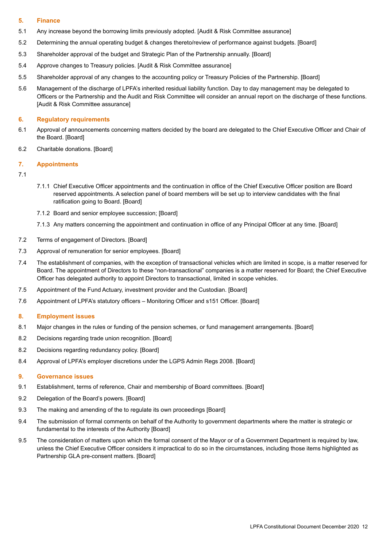#### **5. Finance**

- 5.1 Any increase beyond the borrowing limits previously adopted. [Audit & Risk Committee assurance]
- 5.2 Determining the annual operating budget & changes thereto/review of performance against budgets. [Board]
- 5.3 Shareholder approval of the budget and Strategic Plan of the Partnership annually. [Board]
- 5.4 Approve changes to Treasury policies. [Audit & Risk Committee assurance]
- 5.5 Shareholder approval of any changes to the accounting policy or Treasury Policies of the Partnership. [Board]
- 5.6 Management of the discharge of LPFA's inherited residual liability function. Day to day management may be delegated to Officers or the Partnership and the Audit and Risk Committee will consider an annual report on the discharge of these functions. [Audit & Risk Committee assurance]

#### **6. Regulatory requirements**

- 6.1 Approval of announcements concerning matters decided by the board are delegated to the Chief Executive Officer and Chair of the Board. [Board]
- 6.2 Charitable donations. [Board]

#### **7. Appointments**

- 7.1
- 7.1.1 Chief Executive Officer appointments and the continuation in office of the Chief Executive Officer position are Board reserved appointments. A selection panel of board members will be set up to interview candidates with the final ratification going to Board. [Board]
- 7.1.2 Board and senior employee succession; [Board]
- 7.1.3 Any matters concerning the appointment and continuation in office of any Principal Officer at any time. [Board]
- 7.2 Terms of engagement of Directors. [Board]
- 7.3 Approval of remuneration for senior employees. [Board]
- 7.4 The establishment of companies, with the exception of transactional vehicles which are limited in scope, is a matter reserved for Board. The appointment of Directors to these "non-transactional" companies is a matter reserved for Board; the Chief Executive Officer has delegated authority to appoint Directors to transactional, limited in scope vehicles.
- 7.5 Appointment of the Fund Actuary, investment provider and the Custodian. [Board]
- 7.6 Appointment of LPFA's statutory officers Monitoring Officer and s151 Officer. [Board]

### **8. Employment issues**

- 8.1 Major changes in the rules or funding of the pension schemes, or fund management arrangements. [Board]
- 8.2 Decisions regarding trade union recognition. [Board]
- 8.2 Decisions regarding redundancy policy. [Board]
- 8.4 Approval of LPFA's employer discretions under the LGPS Admin Regs 2008. [Board]

#### **9. Governance issues**

- 9.1 Establishment, terms of reference, Chair and membership of Board committees. [Board]
- 9.2 Delegation of the Board's powers. [Board]
- 9.3 The making and amending of the to regulate its own proceedings [Board]
- 9.4 The submission of formal comments on behalf of the Authority to government departments where the matter is strategic or fundamental to the interests of the Authority [Board]
- 9.5 The consideration of matters upon which the formal consent of the Mayor or of a Government Department is required by law, unless the Chief Executive Officer considers it impractical to do so in the circumstances, including those items highlighted as Partnership GLA pre-consent matters. [Board]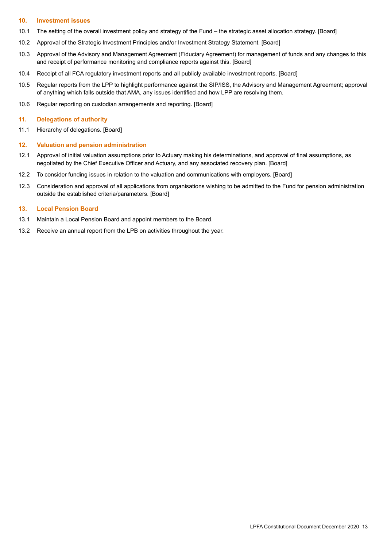#### **10. Investment issues**

- 10.1 The setting of the overall investment policy and strategy of the Fund the strategic asset allocation strategy. [Board]
- 10.2 Approval of the Strategic Investment Principles and/or Investment Strategy Statement. [Board]
- 10.3 Approval of the Advisory and Management Agreement (Fiduciary Agreement) for management of funds and any changes to this and receipt of performance monitoring and compliance reports against this. [Board]
- 10.4 Receipt of all FCA regulatory investment reports and all publicly available investment reports. [Board]
- 10.5 Regular reports from the LPP to highlight performance against the SIP/ISS, the Advisory and Management Agreement; approval of anything which falls outside that AMA, any issues identified and how LPP are resolving them.
- 10.6 Regular reporting on custodian arrangements and reporting. [Board]

#### **11. Delegations of authority**

11.1 Hierarchy of delegations. [Board]

### **12. Valuation and pension administration**

- 12.1 Approval of initial valuation assumptions prior to Actuary making his determinations, and approval of final assumptions, as negotiated by the Chief Executive Officer and Actuary, and any associated recovery plan. [Board]
- 12.2 To consider funding issues in relation to the valuation and communications with employers. [Board]
- 12.3 Consideration and approval of all applications from organisations wishing to be admitted to the Fund for pension administration outside the established criteria/parameters. [Board]

#### **13. Local Pension Board**

- 13.1 Maintain a Local Pension Board and appoint members to the Board.
- 13.2 Receive an annual report from the LPB on activities throughout the year.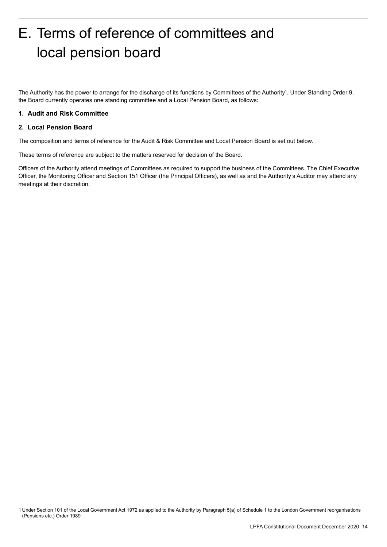# E. Terms of reference of committees and local pension board

The Authority has the power to arrange for the discharge of its functions by Committees of the Authority<sup>1</sup>. Under Standing Order 9, the Board currently operates one standing committee and a Local Pension Board, as follows:

# **1. Audit and Risk Committee**

# **2. Local Pension Board**

The composition and terms of reference for the Audit & Risk Committee and Local Pension Board is set out below.

These terms of reference are subject to the matters reserved for decision of the Board.

Officers of the Authority attend meetings of Committees as required to support the business of the Committees. The Chief Executive Officer, the Monitoring Officer and Section 151 Officer (the Principal Officers), as well as and the Authority's Auditor may attend any meetings at their discretion.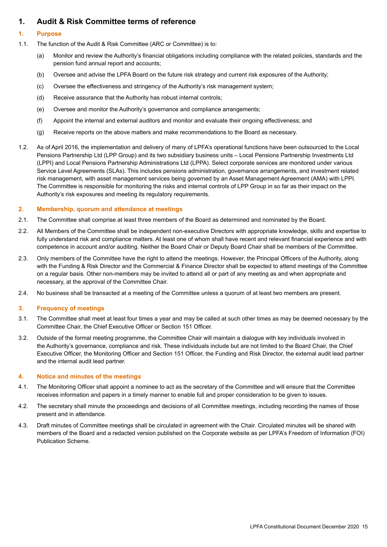# **1. Audit & Risk Committee terms of reference**

# **1. Purpose**

- 1.1. The function of the Audit & Risk Committee (ARC or Committee) is to:
	- (a) Monitor and review the Authority's financial obligations including compliance with the related policies, standards and the pension fund annual report and accounts;
	- (b) Oversee and advise the LPFA Board on the future risk strategy and current risk exposures of the Authority;
	- (c) Oversee the effectiveness and stringency of the Authority's risk management system;
	- (d) Receive assurance that the Authority has robust internal controls;
	- (e) Oversee and monitor the Authority's governance and compliance arrangements;
	- (f) Appoint the internal and external auditors and monitor and evaluate their ongoing effectiveness; and
	- (g) Receive reports on the above matters and make recommendations to the Board as necessary.
- 1.2. As of April 2016, the implementation and delivery of many of LPFA's operational functions have been outsourced to the Local Pensions Partnership Ltd (LPP Group) and its two subsidiary business units – Local Pensions Partnership Investments Ltd (LPPI) and Local Pensions Partnership Administrations Ltd (LPPA). Select corporate services are monitored under various Service Level Agreements (SLAs). This includes pensions administration, governance arrangements, and investment related risk management, with asset management services being governed by an Asset Management Agreement (AMA) with LPPI. The Committee is responsible for monitoring the risks and internal controls of LPP Group in so far as their impact on the Authority's risk exposures and meeting its regulatory requirements.

### **2. Membership, quorum and attendance at meetings**

- 2.1. The Committee shall comprise at least three members of the Board as determined and nominated by the Board.
- 2.2. All Members of the Committee shall be independent non-executive Directors with appropriate knowledge, skills and expertise to fully understand risk and compliance matters. At least one of whom shall have recent and relevant financial experience and with competence in account and/or auditing. Neither the Board Chair or Deputy Board Chair shall be members of the Committee.
- 2.3. Only members of the Committee have the right to attend the meetings. However, the Principal Officers of the Authority, along with the Funding & Risk Director and the Commercial & Finance Director shall be expected to attend meetings of the Committee on a regular basis. Other non-members may be invited to attend all or part of any meeting as and when appropriate and necessary, at the approval of the Committee Chair.
- 2.4. No business shall be transacted at a meeting of the Committee unless a quorum of at least two members are present.

### **3. Frequency of meetings**

- 3.1. The Committee shall meet at least four times a year and may be called at such other times as may be deemed necessary by the Committee Chair, the Chief Executive Officer or Section 151 Officer.
- 3.2. Outside of the formal meeting programme, the Committee Chair will maintain a dialogue with key individuals involved in the Authority's governance, compliance and risk. These individuals include but are not limited to the Board Chair, the Chief Executive Officer, the Monitoring Officer and Section 151 Officer, the Funding and Risk Director, the external audit lead partner and the internal audit lead partner.

### **4. Notice and minutes of the meetings**

- 4.1. The Monitoring Officer shall appoint a nominee to act as the secretary of the Committee and will ensure that the Committee receives information and papers in a timely manner to enable full and proper consideration to be given to issues.
- 4.2. The secretary shall minute the proceedings and decisions of all Committee meetings, including recording the names of those present and in attendance.
- 4.3. Draft minutes of Committee meetings shall be circulated in agreement with the Chair. Circulated minutes will be shared with members of the Board and a redacted version published on the Corporate website as per LPFA's Freedom of Information (FOI) Publication Scheme.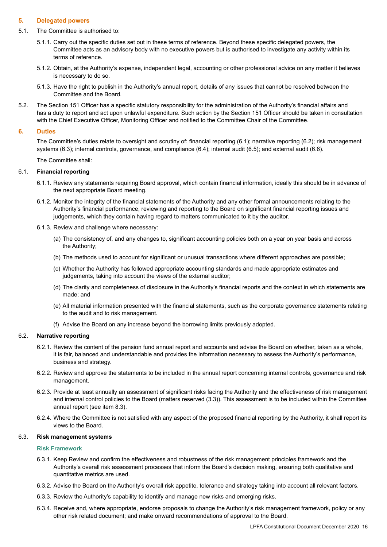### **5. Delegated powers**

- 5.1. The Committee is authorised to:
	- 5.1.1. Carry out the specific duties set out in these terms of reference. Beyond these specific delegated powers, the Committee acts as an advisory body with no executive powers but is authorised to investigate any activity within its terms of reference.
	- 5.1.2. Obtain, at the Authority's expense, independent legal, accounting or other professional advice on any matter it believes is necessary to do so.
	- 5.1.3. Have the right to publish in the Authority's annual report, details of any issues that cannot be resolved between the Committee and the Board.
- 5.2. The Section 151 Officer has a specific statutory responsibility for the administration of the Authority's financial affairs and has a duty to report and act upon unlawful expenditure. Such action by the Section 151 Officer should be taken in consultation with the Chief Executive Officer, Monitoring Officer and notified to the Committee Chair of the Committee.

#### **6. Duties**

The Committee's duties relate to oversight and scrutiny of: financial reporting (6.1); narrative reporting (6.2); risk management systems (6.3); internal controls, governance, and compliance (6.4); internal audit (6.5); and external audit (6.6).

The Committee shall:

#### 6.1. **Financial reporting**

- 6.1.1. Review any statements requiring Board approval, which contain financial information, ideally this should be in advance of the next appropriate Board meeting.
- 6.1.2. Monitor the integrity of the financial statements of the Authority and any other formal announcements relating to the Authority's financial performance, reviewing and reporting to the Board on significant financial reporting issues and judgements, which they contain having regard to matters communicated to it by the auditor.
- 6.1.3. Review and challenge where necessary:
	- (a) The consistency of, and any changes to, significant accounting policies both on a year on year basis and across the Authority;
	- (b) The methods used to account for significant or unusual transactions where different approaches are possible;
	- (c) Whether the Authority has followed appropriate accounting standards and made appropriate estimates and judgements, taking into account the views of the external auditor;
	- (d) The clarity and completeness of disclosure in the Authority's financial reports and the context in which statements are made; and
	- (e) All material information presented with the financial statements, such as the corporate governance statements relating to the audit and to risk management.
	- (f) Advise the Board on any increase beyond the borrowing limits previously adopted.

#### 6.2. **Narrative reporting**

- 6.2.1. Review the content of the pension fund annual report and accounts and advise the Board on whether, taken as a whole, it is fair, balanced and understandable and provides the information necessary to assess the Authority's performance, business and strategy.
- 6.2.2. Review and approve the statements to be included in the annual report concerning internal controls, governance and risk management.
- 6.2.3. Provide at least annually an assessment of significant risks facing the Authority and the effectiveness of risk management and internal control policies to the Board (matters reserved (3.3)). This assessment is to be included within the Committee annual report (see item 8.3).
- 6.2.4. Where the Committee is not satisfied with any aspect of the proposed financial reporting by the Authority, it shall report its views to the Board.

#### 6.3. **Risk management systems**

#### **Risk Framework**

- 6.3.1. Keep Review and confirm the effectiveness and robustness of the risk management principles framework and the Authority's overall risk assessment processes that inform the Board's decision making, ensuring both qualitative and quantitative metrics are used.
- 6.3.2. Advise the Board on the Authority's overall risk appetite, tolerance and strategy taking into account all relevant factors.
- 6.3.3. Review the Authority's capability to identify and manage new risks and emerging risks.
- 6.3.4. Receive and, where appropriate, endorse proposals to change the Authority's risk management framework, policy or any other risk related document; and make onward recommendations of approval to the Board.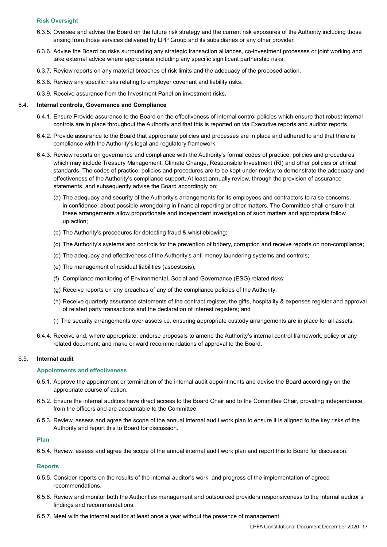#### **Risk Oversight**

- 6.3.5. Oversee and advise the Board on the future risk strategy and the current risk exposures of the Authority including those arising from those services delivered by LPP Group and its subsidiaries or any other provider.
- 6.3.6. Advise the Board on risks surrounding any strategic transaction alliances, co-investment processes or joint working and take external advice where appropriate including any specific significant partnership risks.
- 6.3.7. Review reports on any material breaches of risk limits and the adequacy of the proposed action.
- 6.3.8. Review any specific risks relating to employer covenant and liability risks.
- 6.3.9. Receive assurance from the Investment Panel on investment risks.

#### 6.4. **Internal controls, Governance and Compliance**

- 6.4.1. Ensure Provide assurance to the Board on the effectiveness of internal control policies which ensure that robust internal controls are in place throughout the Authority and that this is reported on via Executive reports and auditor reports.
- 6.4.2. Provide assurance to the Board that appropriate policies and processes are in place and adhered to and that there is compliance with the Authority's legal and regulatory framework.
- 6.4.3. Review reports on governance and compliance with the Authority's formal codes of practice, policies and procedures which may include Treasury Management, Climate Change, Responsible Investment (RI) and other policies or ethical standards. The codes of practice, policies and procedures are to be kept under review to demonstrate the adequacy and effectiveness of the Authority's compliance support. At least annually review, through the provision of assurance statements, and subsequently advise the Board accordingly on:
	- (a) The adequacy and security of the Authority's arrangements for its employees and contractors to raise concerns, in confidence, about possible wrongdoing in financial reporting or other matters. The Committee shall ensure that these arrangements allow proportionate and independent investigation of such matters and appropriate follow up action;
	- (b) The Authority's procedures for detecting fraud & whistleblowing;
	- (c) The Authority's systems and controls for the prevention of bribery, corruption and receive reports on non-compliance;
	- (d) The adequacy and effectiveness of the Authority's anti-money laundering systems and controls;
	- (e) The management of residual liabilities (asbestosis);
	- (f) Compliance monitoring of Environmental, Social and Governance (ESG) related risks;
	- (g) Receive reports on any breaches of any of the compliance policies of the Authority;
	- (h) Receive quarterly assurance statements of the contract register, the gifts, hospitality & expenses register and approval of related party transactions and the declaration of interest registers; and
	- (i) The security arrangements over assets i.e. ensuring appropriate custody arrangements are in place for all assets.
- 6.4.4. Receive and, where appropriate, endorse proposals to amend the Authority's internal control framework, policy or any related document; and make onward recommendations of approval to the Board.

#### 6.5. **Internal audit**

#### **Appointments and effectiveness**

- 6.5.1. Approve the appointment or termination of the internal audit appointments and advise the Board accordingly on the appropriate course of action.
- 6.5.2. Ensure the internal auditors have direct access to the Board Chair and to the Committee Chair, providing independence from the officers and are accountable to the Committee.
- 6.5.3. Review, assess and agree the scope of the annual internal audit work plan to ensure it is aligned to the key risks of the Authority and report this to Board for discussion.

#### **Plan**

6.5.4. Review, assess and agree the scope of the annual internal audit work plan and report this to Board for discussion.

#### **Reports**

- 6.5.5. Consider reports on the results of the internal auditor's work, and progress of the implementation of agreed recommendations.
- 6.5.6. Review and monitor both the Authorities management and outsourced providers responsiveness to the internal auditor's findings and recommendations.
- 6.5.7. Meet with the internal auditor at least once a year without the presence of management.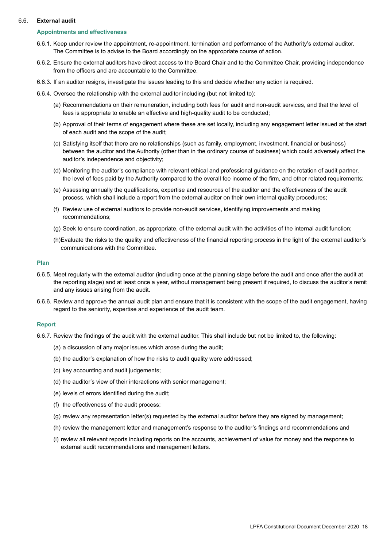#### 6.6. **External audit**

#### **Appointments and effectiveness**

- 6.6.1. Keep under review the appointment, re-appointment, termination and performance of the Authority's external auditor. The Committee is to advise to the Board accordingly on the appropriate course of action.
- 6.6.2. Ensure the external auditors have direct access to the Board Chair and to the Committee Chair, providing independence from the officers and are accountable to the Committee.
- 6.6.3. If an auditor resigns, investigate the issues leading to this and decide whether any action is required.
- 6.6.4. Oversee the relationship with the external auditor including (but not limited to):
	- (a) Recommendations on their remuneration, including both fees for audit and non-audit services, and that the level of fees is appropriate to enable an effective and high-quality audit to be conducted;
	- (b) Approval of their terms of engagement where these are set locally, including any engagement letter issued at the start of each audit and the scope of the audit;
	- (c) Satisfying itself that there are no relationships (such as family, employment, investment, financial or business) between the auditor and the Authority (other than in the ordinary course of business) which could adversely affect the auditor's independence and objectivity;
	- (d) Monitoring the auditor's compliance with relevant ethical and professional guidance on the rotation of audit partner, the level of fees paid by the Authority compared to the overall fee income of the firm, and other related requirements;
	- (e) Assessing annually the qualifications, expertise and resources of the auditor and the effectiveness of the audit process, which shall include a report from the external auditor on their own internal quality procedures;
	- (f) Review use of external auditors to provide non-audit services, identifying improvements and making recommendations;
	- (g) Seek to ensure coordination, as appropriate, of the external audit with the activities of the internal audit function;
	- (h)Evaluate the risks to the quality and effectiveness of the financial reporting process in the light of the external auditor's communications with the Committee.

#### **Plan**

- 6.6.5. Meet regularly with the external auditor (including once at the planning stage before the audit and once after the audit at the reporting stage) and at least once a year, without management being present if required, to discuss the auditor's remit and any issues arising from the audit.
- 6.6.6. Review and approve the annual audit plan and ensure that it is consistent with the scope of the audit engagement, having regard to the seniority, expertise and experience of the audit team.

#### **Report**

- 6.6.7. Review the findings of the audit with the external auditor. This shall include but not be limited to, the following:
	- (a) a discussion of any major issues which arose during the audit;
	- (b) the auditor's explanation of how the risks to audit quality were addressed;
	- (c) key accounting and audit judgements;
	- (d) the auditor's view of their interactions with senior management;
	- (e) levels of errors identified during the audit;
	- (f) the effectiveness of the audit process;
	- (g) review any representation letter(s) requested by the external auditor before they are signed by management;
	- (h) review the management letter and management's response to the auditor's findings and recommendations and
	- (i) review all relevant reports including reports on the accounts, achievement of value for money and the response to external audit recommendations and management letters.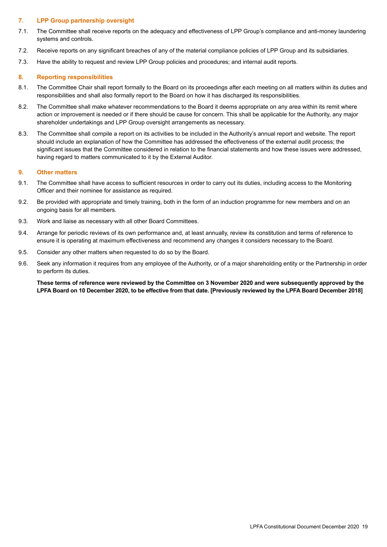## **7. LPP Group partnership oversight**

- 7.1. The Committee shall receive reports on the adequacy and effectiveness of LPP Group's compliance and anti-money laundering systems and controls.
- 7.2. Receive reports on any significant breaches of any of the material compliance policies of LPP Group and its subsidiaries.
- 7.3. Have the ability to request and review LPP Group policies and procedures; and internal audit reports.

#### **8. Reporting responsibilities**

- 8.1. The Committee Chair shall report formally to the Board on its proceedings after each meeting on all matters within its duties and responsibilities and shall also formally report to the Board on how it has discharged its responsibilities.
- 8.2. The Committee shall make whatever recommendations to the Board it deems appropriate on any area within its remit where action or improvement is needed or if there should be cause for concern. This shall be applicable for the Authority, any major shareholder undertakings and LPP Group oversight arrangements as necessary.
- 8.3. The Committee shall compile a report on its activities to be included in the Authority's annual report and website. The report should include an explanation of how the Committee has addressed the effectiveness of the external audit process; the significant issues that the Committee considered in relation to the financial statements and how these issues were addressed, having regard to matters communicated to it by the External Auditor.

#### **9. Other matters**

- 9.1. The Committee shall have access to sufficient resources in order to carry out its duties, including access to the Monitoring Officer and their nominee for assistance as required.
- 9.2. Be provided with appropriate and timely training, both in the form of an induction programme for new members and on an ongoing basis for all members.
- 9.3. Work and liaise as necessary with all other Board Committees.
- 9.4. Arrange for periodic reviews of its own performance and, at least annually, review its constitution and terms of reference to ensure it is operating at maximum effectiveness and recommend any changes it considers necessary to the Board.
- 9.5. Consider any other matters when requested to do so by the Board.
- 9.6. Seek any information it requires from any employee of the Authority, or of a major shareholding entity or the Partnership in order to perform its duties.

**These terms of reference were reviewed by the Committee on 3 November 2020 and were subsequently approved by the LPFA Board on 10 December 2020, to be effective from that date. [Previously reviewed by the LPFA Board December 2018]**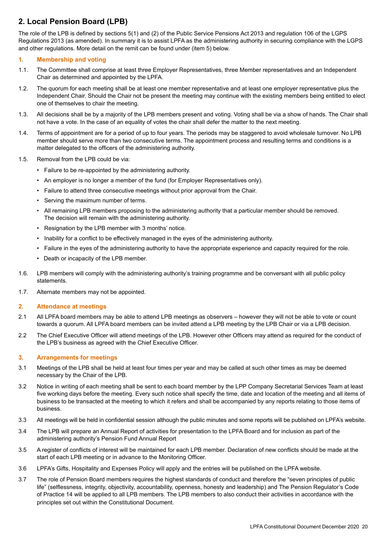# **2. Local Pension Board (LPB)**

The role of the LPB is defined by sections 5(1) and (2) of the Public Service Pensions Act 2013 and regulation 106 of the LGPS Regulations 2013 (as amended). In summary it is to assist LPFA as the administering authority in securing compliance with the LGPS and other regulations. More detail on the remit can be found under (item 5) below.

# **1. Membership and voting**

- 1.1. The Committee shall comprise at least three Employer Representatives, three Member representatives and an Independent Chair as determined and appointed by the LPFA.
- 1.2. The quorum for each meeting shall be at least one member representative and at least one employer representative plus the Independent Chair. Should the Chair not be present the meeting may continue with the existing members being entitled to elect one of themselves to chair the meeting.
- 1.3. All decisions shall be by a majority of the LPB members present and voting. Voting shall be via a show of hands. The Chair shall not have a vote. In the case of an equality of votes the chair shall defer the matter to the next meeting.
- 1.4. Terms of appointment are for a period of up to four years. The periods may be staggered to avoid wholesale turnover. No LPB member should serve more than two consecutive terms. The appointment process and resulting terms and conditions is a matter delegated to the officers of the administering authority.
- 1.5. Removal from the LPB could be via:
	- Failure to be re-appointed by the administering authority.
	- An employer is no longer a member of the fund (for Employer Representatives only).
	- Failure to attend three consecutive meetings without prior approval from the Chair.
	- Serving the maximum number of terms.
	- All remaining LPB members proposing to the administering authority that a particular member should be removed. The decision will remain with the administering authority.
	- Resignation by the LPB member with 3 months' notice.
	- Inability for a conflict to be effectively managed in the eyes of the administering authority.
	- Failure in the eyes of the administering authority to have the appropriate experience and capacity required for the role.
	- Death or incapacity of the LPB member.
- 1.6. LPB members will comply with the administering authority's training programme and be conversant with all public policy statements.
- 1.7. Alternate members may not be appointed.

### **2. Attendance at meetings**

- 2.1 All LPFA board members may be able to attend LPB meetings as observers however they will not be able to vote or count towards a quorum. All LPFA board members can be invited attend a LPB meeting by the LPB Chair or via a LPB decision.
- 2.2 The Chief Executive Officer will attend meetings of the LPB. However other Officers may attend as required for the conduct of the LPB's business as agreed with the Chief Executive Officer.

### **3. Arrangements for meetings**

- 3.1 Meetings of the LPB shall be held at least four times per year and may be called at such other times as may be deemed necessary by the Chair of the LPB.
- 3.2 Notice in writing of each meeting shall be sent to each board member by the LPP Company Secretarial Services Team at least five working days before the meeting. Every such notice shall specify the time, date and location of the meeting and all items of business to be transacted at the meeting to which it refers and shall be accompanied by any reports relating to those items of business.
- 3.3 All meetings will be held in confidential session although the public minutes and some reports will be published on LPFA's website.
- 3.4 The LPB will prepare an Annual Report of activities for presentation to the LPFA Board and for inclusion as part of the administering authority's Pension Fund Annual Report
- 3.5 A register of conflicts of interest will be maintained for each LPB member. Declaration of new conflicts should be made at the start of each LPB meeting or in advance to the Monitoring Officer.
- 3.6 LPFA's Gifts, Hospitality and Expenses Policy will apply and the entries will be published on the LPFA website.
- 3.7 The role of Pension Board members requires the highest standards of conduct and therefore the "seven principles of public life" (selflessness, integrity, objectivity, accountability, openness, honesty and leadership) and The Pension Regulator's Code of Practice 14 will be applied to all LPB members. The LPB members to also conduct their activities in accordance with the principles set out within the Constitutional Document.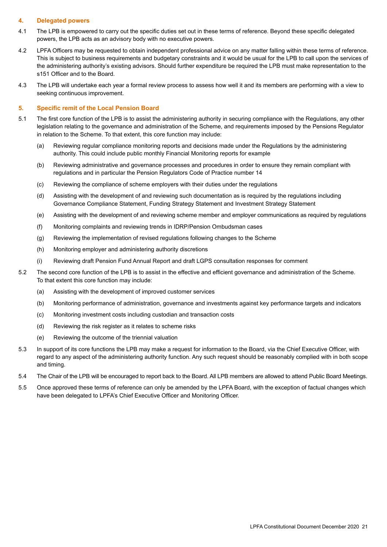### **4. Delegated powers**

- 4.1 The LPB is empowered to carry out the specific duties set out in these terms of reference. Beyond these specific delegated powers, the LPB acts as an advisory body with no executive powers.
- 4.2 LPFA Officers may be requested to obtain independent professional advice on any matter falling within these terms of reference. This is subject to business requirements and budgetary constraints and it would be usual for the LPB to call upon the services of the administering authority's existing advisors. Should further expenditure be required the LPB must make representation to the s151 Officer and to the Board.
- 4.3 The LPB will undertake each year a formal review process to assess how well it and its members are performing with a view to seeking continuous improvement.

## **5. Specific remit of the Local Pension Board**

- 5.1 The first core function of the LPB is to assist the administering authority in securing compliance with the Regulations, any other legislation relating to the governance and administration of the Scheme, and requirements imposed by the Pensions Regulator in relation to the Scheme. To that extent, this core function may include:
	- (a) Reviewing regular compliance monitoring reports and decisions made under the Regulations by the administering authority. This could include public monthly Financial Monitoring reports for example
	- (b) Reviewing administrative and governance processes and procedures in order to ensure they remain compliant with regulations and in particular the Pension Regulators Code of Practice number 14
	- (c) Reviewing the compliance of scheme employers with their duties under the regulations
	- (d) Assisting with the development of and reviewing such documentation as is required by the regulations including Governance Compliance Statement, Funding Strategy Statement and Investment Strategy Statement
	- (e) Assisting with the development of and reviewing scheme member and employer communications as required by regulations
	- (f) Monitoring complaints and reviewing trends in IDRP/Pension Ombudsman cases
	- (g) Reviewing the implementation of revised regulations following changes to the Scheme
	- (h) Monitoring employer and administering authority discretions
	- (i) Reviewing draft Pension Fund Annual Report and draft LGPS consultation responses for comment
- 5.2 The second core function of the LPB is to assist in the effective and efficient governance and administration of the Scheme. To that extent this core function may include:
	- (a) Assisting with the development of improved customer services
	- (b) Monitoring performance of administration, governance and investments against key performance targets and indicators
	- (c) Monitoring investment costs including custodian and transaction costs
	- (d) Reviewing the risk register as it relates to scheme risks
	- (e) Reviewing the outcome of the triennial valuation
- 5.3 In support of its core functions the LPB may make a request for information to the Board, via the Chief Executive Officer, with regard to any aspect of the administering authority function. Any such request should be reasonably complied with in both scope and timing.
- 5.4 The Chair of the LPB will be encouraged to report back to the Board. All LPB members are allowed to attend Public Board Meetings.
- 5.5 Once approved these terms of reference can only be amended by the LPFA Board, with the exception of factual changes which have been delegated to LPFA's Chief Executive Officer and Monitoring Officer.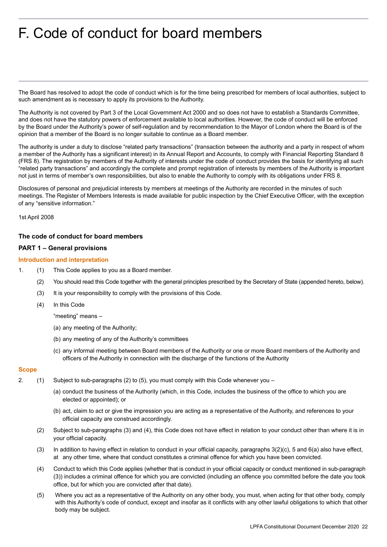# F. Code of conduct for board members

The Board has resolved to adopt the code of conduct which is for the time being prescribed for members of local authorities, subject to such amendment as is necessary to apply its provisions to the Authority.

The Authority is not covered by Part 3 of the Local Government Act 2000 and so does not have to establish a Standards Committee, and does not have the statutory powers of enforcement available to local authorities. However, the code of conduct will be enforced by the Board under the Authority's power of self-regulation and by recommendation to the Mayor of London where the Board is of the opinion that a member of the Board is no longer suitable to continue as a Board member.

The authority is under a duty to disclose "related party transactions" (transaction between the authority and a party in respect of whom a member of the Authority has a significant interest) in its Annual Report and Accounts, to comply with Financial Reporting Standard 8 (FRS 8). The registration by members of the Authority of interests under the code of conduct provides the basis for identifying all such "related party transactions" and accordingly the complete and prompt registration of interests by members of the Authority is important not just in terms of member's own responsibilities, but also to enable the Authority to comply with its obligations under FRS 8.

Disclosures of personal and prejudicial interests by members at meetings of the Authority are recorded in the minutes of such meetings. The Register of Members Interests is made available for public inspection by the Chief Executive Officer, with the exception of any "sensitive information."

1st April 2008

## **The code of conduct for board members**

### **PART 1 – General provisions**

#### **Introduction and interpretation**

- 1. (1) This Code applies to you as a Board member.
	- (2) You should read this Code together with the general principles prescribed by the Secretary of State (appended hereto, below).
	- (3) It is your responsibility to comply with the provisions of this Code.
	- (4) In this Code

"meeting" means –

- (a) any meeting of the Authority;
- (b) any meeting of any of the Authority's committees
- (c) any informal meeting between Board members of the Authority or one or more Board members of the Authority and officers of the Authority in connection with the discharge of the functions of the Authority

#### **Scope**

- 2. (1) Subject to sub-paragraphs (2) to (5), you must comply with this Code whenever you
	- (a) conduct the business of the Authority (which, in this Code, includes the business of the office to which you are elected or appointed); or
	- (b) act, claim to act or give the impression you are acting as a representative of the Authority, and references to your official capacity are construed accordingly.
	- (2) Subject to sub-paragraphs (3) and (4), this Code does not have effect in relation to your conduct other than where it is in your official capacity.
	- (3) In addition to having effect in relation to conduct in your official capacity, paragraphs 3(2)(c), 5 and 6(a) also have effect, at any other time, where that conduct constitutes a criminal offence for which you have been convicted.
	- (4) Conduct to which this Code applies (whether that is conduct in your official capacity or conduct mentioned in sub-paragraph (3)) includes a criminal offence for which you are convicted (including an offence you committed before the date you took office, but for which you are convicted after that date).
	- (5) Where you act as a representative of the Authority on any other body, you must, when acting for that other body, comply with this Authority's code of conduct, except and insofar as it conflicts with any other lawful obligations to which that other body may be subject.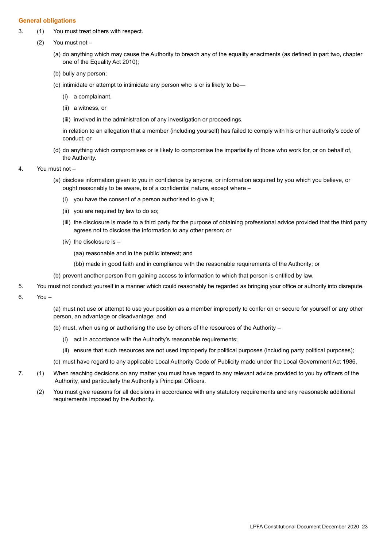#### **General obligations**

- 3. (1) You must treat others with respect.
	- (2) You must not
		- (a) do anything which may cause the Authority to breach any of the equality enactments (as defined in part two, chapter one of the Equality Act 2010);
		- (b) bully any person;
		- (c) intimidate or attempt to intimidate any person who is or is likely to be—
			- (i) a complainant,
			- (ii) a witness, or
			- (iii) involved in the administration of any investigation or proceedings,

 in relation to an allegation that a member (including yourself) has failed to comply with his or her authority's code of conduct; or

- (d) do anything which compromises or is likely to compromise the impartiality of those who work for, or on behalf of, the Authority.
- 4. You must not
	- (a) disclose information given to you in confidence by anyone, or information acquired by you which you believe, or ought reasonably to be aware, is of a confidential nature, except where –
		- (i) you have the consent of a person authorised to give it;
		- (ii) you are required by law to do so;
		- (iii) the disclosure is made to a third party for the purpose of obtaining professional advice provided that the third party agrees not to disclose the information to any other person; or
		- (iv) the disclosure is  $-$ 
			- (aa) reasonable and in the public interest; and
			- (bb) made in good faith and in compliance with the reasonable requirements of the Authority; or
	- (b) prevent another person from gaining access to information to which that person is entitled by law.
- 5. You must not conduct yourself in a manner which could reasonably be regarded as bringing your office or authority into disrepute.
- $6.$  You –

 (a) must not use or attempt to use your position as a member improperly to confer on or secure for yourself or any other person, an advantage or disadvantage; and

- (b) must, when using or authorising the use by others of the resources of the Authority
	- (i) act in accordance with the Authority's reasonable requirements;
	- (ii) ensure that such resources are not used improperly for political purposes (including party political purposes);
- (c) must have regard to any applicable Local Authority Code of Publicity made under the Local Government Act 1986.
- 7. (1) When reaching decisions on any matter you must have regard to any relevant advice provided to you by officers of the Authority, and particularly the Authority's Principal Officers.
	- (2) You must give reasons for all decisions in accordance with any statutory requirements and any reasonable additional requirements imposed by the Authority.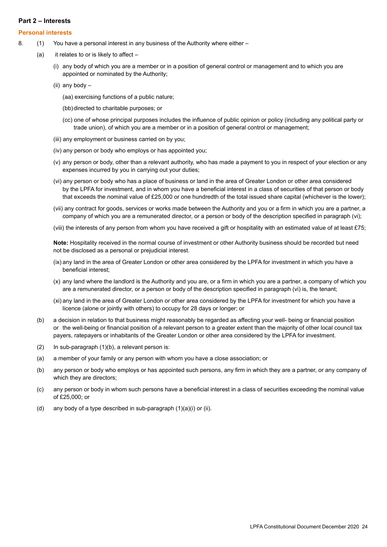#### **Part 2 – Interests**

#### **Personal interests**

- 8. (1) You have a personal interest in any business of the Authority where either
	- $(a)$  it relates to or is likely to affect
		- (i) any body of which you are a member or in a position of general control or management and to which you are appointed or nominated by the Authority;
		- (ii) any body
			- (aa) exercising functions of a public nature;
			- (bb)directed to charitable purposes; or
			- (cc) one of whose principal purposes includes the influence of public opinion or policy (including any political party or trade union), of which you are a member or in a position of general control or management;
		- (iii) any employment or business carried on by you;
		- (iv) any person or body who employs or has appointed you;
		- (v) any person or body, other than a relevant authority, who has made a payment to you in respect of your election or any expenses incurred by you in carrying out your duties;
		- (vi) any person or body who has a place of business or land in the area of Greater London or other area considered by the LPFA for investment, and in whom you have a beneficial interest in a class of securities of that person or body that exceeds the nominal value of £25,000 or one hundredth of the total issued share capital (whichever is the lower);
		- (vii) any contract for goods, services or works made between the Authority and you or a firm in which you are a partner, a company of which you are a remunerated director, or a person or body of the description specified in paragraph (vi);
		- (viii) the interests of any person from whom you have received a gift or hospitality with an estimated value of at least £75;

 **Note:** Hospitality received in the normal course of investment or other Authority business should be recorded but need not be disclosed as a personal or prejudicial interest.

- (ix) any land in the area of Greater London or other area considered by the LPFA for investment in which you have a beneficial interest;
- (x) any land where the landlord is the Authority and you are, or a firm in which you are a partner, a company of which you are a remunerated director, or a person or body of the description specified in paragraph (vi) is, the tenant;
- (xi) any land in the area of Greater London or other area considered by the LPFA for investment for which you have a licence (alone or jointly with others) to occupy for 28 days or longer; or
- (b) a decision in relation to that business might reasonably be regarded as affecting your well- being or financial position or the well-being or financial position of a relevant person to a greater extent than the majority of other local council tax payers, ratepayers or inhabitants of the Greater London or other area considered by the LPFA for investment.
- (2) In sub-paragraph (1)(b), a relevant person is:
- (a) a member of your family or any person with whom you have a close association; or
- (b) any person or body who employs or has appointed such persons, any firm in which they are a partner, or any company of which they are directors;
- (c) any person or body in whom such persons have a beneficial interest in a class of securities exceeding the nominal value of £25,000; or
- (d) any body of a type described in sub-paragraph  $(1)(a)(i)$  or  $(ii)$ .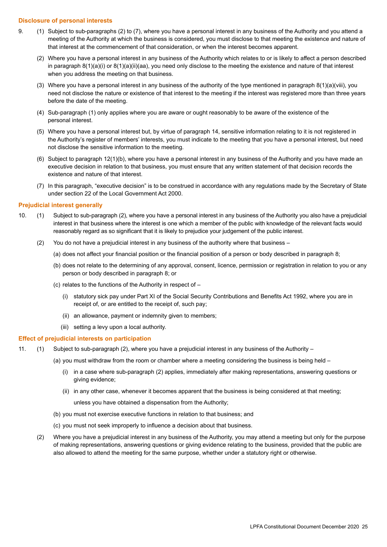#### **Disclosure of personal interests**

- 9. (1) Subject to sub-paragraphs (2) to (7), where you have a personal interest in any business of the Authority and you attend a meeting of the Authority at which the business is considered, you must disclose to that meeting the existence and nature of that interest at the commencement of that consideration, or when the interest becomes apparent.
	- (2) Where you have a personal interest in any business of the Authority which relates to or is likely to affect a person described in paragraph 8(1)(a)(i) or 8(1)(a)(ii)(aa), you need only disclose to the meeting the existence and nature of that interest when you address the meeting on that business.
	- (3) Where you have a personal interest in any business of the authority of the type mentioned in paragraph  $8(1)(a)(viii)$ , you need not disclose the nature or existence of that interest to the meeting if the interest was registered more than three years before the date of the meeting.
	- (4) Sub-paragraph (1) only applies where you are aware or ought reasonably to be aware of the existence of the personal interest.
	- (5) Where you have a personal interest but, by virtue of paragraph 14, sensitive information relating to it is not registered in the Authority's register of members' interests, you must indicate to the meeting that you have a personal interest, but need not disclose the sensitive information to the meeting.
	- (6) Subject to paragraph 12(1)(b), where you have a personal interest in any business of the Authority and you have made an executive decision in relation to that business, you must ensure that any written statement of that decision records the existence and nature of that interest.
	- (7) In this paragraph, "executive decision" is to be construed in accordance with any regulations made by the Secretary of State under section 22 of the Local Government Act 2000.

#### **Prejudicial interest generally**

- 10. (1) Subject to sub-paragraph (2), where you have a personal interest in any business of the Authority you also have a prejudicial interest in that business where the interest is one which a member of the public with knowledge of the relevant facts would reasonably regard as so significant that it is likely to prejudice your judgement of the public interest.
	- (2) You do not have a prejudicial interest in any business of the authority where that business
		- (a) does not affect your financial position or the financial position of a person or body described in paragraph 8;
		- (b) does not relate to the determining of any approval, consent, licence, permission or registration in relation to you or any person or body described in paragraph 8; or
		- (c) relates to the functions of the Authority in respect of
			- (i) statutory sick pay under Part XI of the Social Security Contributions and Benefits Act 1992, where you are in receipt of, or are entitled to the receipt of, such pay;
			- (ii) an allowance, payment or indemnity given to members;
			- (iii) setting a levy upon a local authority.

#### **Effect of prejudicial interests on participation**

- 11. (1) Subject to sub-paragraph (2), where you have a prejudicial interest in any business of the Authority
	- (a) you must withdraw from the room or chamber where a meeting considering the business is being held
		- (i) in a case where sub-paragraph (2) applies, immediately after making representations, answering questions or giving evidence;
		- (ii) in any other case, whenever it becomes apparent that the business is being considered at that meeting;

unless you have obtained a dispensation from the Authority;

- (b) you must not exercise executive functions in relation to that business; and
- (c) you must not seek improperly to influence a decision about that business.
- (2) Where you have a prejudicial interest in any business of the Authority, you may attend a meeting but only for the purpose of making representations, answering questions or giving evidence relating to the business, provided that the public are also allowed to attend the meeting for the same purpose, whether under a statutory right or otherwise.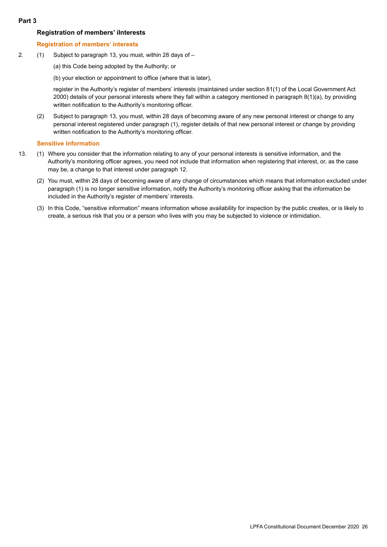# **Registration of members' iInterests**

#### **Registration of members' interests**

2. (1) Subject to paragraph 13, you must, within 28 days of –

(a) this Code being adopted by the Authority; or

(b) your election or appointment to office (where that is later),

 register in the Authority's register of members' interests (maintained under section 81(1) of the Local Government Act 2000) details of your personal interests where they fall within a category mentioned in paragraph 8(1)(a), by providing written notification to the Authority's monitoring officer.

(2) Subject to paragraph 13, you must, within 28 days of becoming aware of any new personal interest or change to any personal interest registered under paragraph (1), register details of that new personal interest or change by providing written notification to the Authority's monitoring officer.

#### **Sensitive information**

- 13. (1) Where you consider that the information relating to any of your personal interests is sensitive information, and the Authority's monitoring officer agrees, you need not include that information when registering that interest, or, as the case may be, a change to that interest under paragraph 12.
	- (2) You must, within 28 days of becoming aware of any change of circumstances which means that information excluded under paragraph (1) is no longer sensitive information, notify the Authority's monitoring officer asking that the information be included in the Authority's register of members' interests.
	- (3) In this Code, "sensitive information" means information whose availability for inspection by the public creates, or is likely to create, a serious risk that you or a person who lives with you may be subjected to violence or intimidation.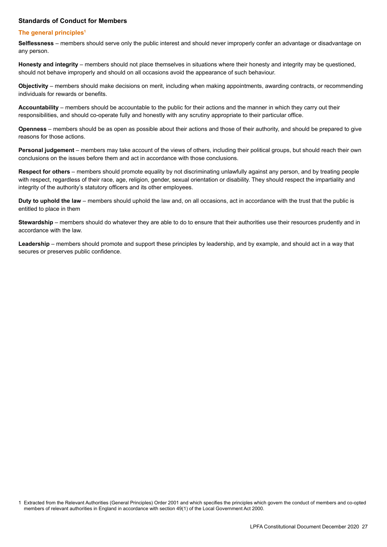# **Standards of Conduct for Members**

### **The general principles1**

**Selflessness** – members should serve only the public interest and should never improperly confer an advantage or disadvantage on any person.

**Honesty and integrity** – members should not place themselves in situations where their honesty and integrity may be questioned, should not behave improperly and should on all occasions avoid the appearance of such behaviour.

**Objectivity** – members should make decisions on merit, including when making appointments, awarding contracts, or recommending individuals for rewards or benefits.

**Accountability** – members should be accountable to the public for their actions and the manner in which they carry out their responsibilities, and should co-operate fully and honestly with any scrutiny appropriate to their particular office.

**Openness** – members should be as open as possible about their actions and those of their authority, and should be prepared to give reasons for those actions.

**Personal judgement** – members may take account of the views of others, including their political groups, but should reach their own conclusions on the issues before them and act in accordance with those conclusions.

**Respect for others** – members should promote equality by not discriminating unlawfully against any person, and by treating people with respect, regardless of their race, age, religion, gender, sexual orientation or disability. They should respect the impartiality and integrity of the authority's statutory officers and its other employees.

**Duty to uphold the law** – members should uphold the law and, on all occasions, act in accordance with the trust that the public is entitled to place in them

**Stewardship** – members should do whatever they are able to do to ensure that their authorities use their resources prudently and in accordance with the law.

**Leadership** – members should promote and support these principles by leadership, and by example, and should act in a way that secures or preserves public confidence.

<sup>1</sup> Extracted from the Relevant Authorities (General Principles) Order 2001 and which specifies the principles which govern the conduct of members and co-opted members of relevant authorities in England in accordance with section 49(1) of the Local Government Act 2000.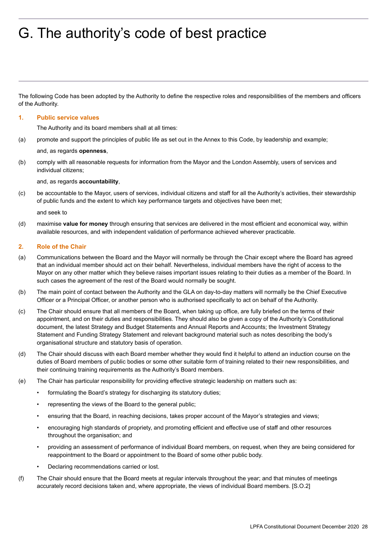# G. The authority's code of best practice

The following Code has been adopted by the Authority to define the respective roles and responsibilities of the members and officers of the Authority.

#### **1. Public service values**

The Authority and its board members shall at all times:

(a) promote and support the principles of public life as set out in the Annex to this Code, by leadership and example;

and, as regards **openness**,

(b) comply with all reasonable requests for information from the Mayor and the London Assembly, users of services and individual citizens;

and, as regards **accountability**,

(c) be accountable to the Mayor, users of services, individual citizens and staff for all the Authority's activities, their stewardship of public funds and the extent to which key performance targets and objectives have been met;

and seek to

(d) maximise **value for money** through ensuring that services are delivered in the most efficient and economical way, within available resources, and with independent validation of performance achieved wherever practicable.

#### **2. Role of the Chair**

- (a) Communications between the Board and the Mayor will normally be through the Chair except where the Board has agreed that an individual member should act on their behalf. Nevertheless, individual members have the right of access to the Mayor on any other matter which they believe raises important issues relating to their duties as a member of the Board. In such cases the agreement of the rest of the Board would normally be sought.
- (b) The main point of contact between the Authority and the GLA on day-to-day matters will normally be the Chief Executive Officer or a Principal Officer, or another person who is authorised specifically to act on behalf of the Authority.
- (c) The Chair should ensure that all members of the Board, when taking up office, are fully briefed on the terms of their appointment, and on their duties and responsibilities. They should also be given a copy of the Authority's Constitutional document, the latest Strategy and Budget Statements and Annual Reports and Accounts; the Investment Strategy Statement and Funding Strategy Statement and relevant background material such as notes describing the body's organisational structure and statutory basis of operation.
- (d) The Chair should discuss with each Board member whether they would find it helpful to attend an induction course on the duties of Board members of public bodies or some other suitable form of training related to their new responsibilities, and their continuing training requirements as the Authority's Board members.
- (e) The Chair has particular responsibility for providing effective strategic leadership on matters such as:
	- formulating the Board's strategy for discharging its statutory duties;
	- representing the views of the Board to the general public;
	- ensuring that the Board, in reaching decisions, takes proper account of the Mayor's strategies and views;
	- encouraging high standards of propriety, and promoting efficient and effective use of staff and other resources throughout the organisation; and
	- providing an assessment of performance of individual Board members, on request, when they are being considered for reappointment to the Board or appointment to the Board of some other public body.
	- Declaring recommendations carried or lost.
- (f) The Chair should ensure that the Board meets at regular intervals throughout the year; and that minutes of meetings accurately record decisions taken and, where appropriate, the views of individual Board members. [S.O.2]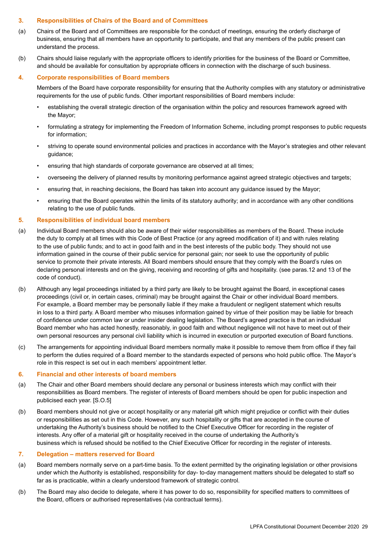#### **3. Responsibilities of Chairs of the Board and of Committees**

- (a) Chairs of the Board and of Committees are responsible for the conduct of meetings, ensuring the orderly discharge of business, ensuring that all members have an opportunity to participate, and that any members of the public present can understand the process.
- (b) Chairs should liaise regularly with the appropriate officers to identify priorities for the business of the Board or Committee, and should be available for consultation by appropriate officers in connection with the discharge of such business.

#### **4. Corporate responsibilities of Board members**

Members of the Board have corporate responsibility for ensuring that the Authority complies with any statutory or administrative requirements for the use of public funds. Other important responsibilities of Board members include:

- establishing the overall strategic direction of the organisation within the policy and resources framework agreed with the Mayor;
- formulating a strategy for implementing the Freedom of Information Scheme, including prompt responses to public requests for information;
- striving to operate sound environmental policies and practices in accordance with the Mayor's strategies and other relevant guidance;
- ensuring that high standards of corporate governance are observed at all times;
- overseeing the delivery of planned results by monitoring performance against agreed strategic objectives and targets;
- ensuring that, in reaching decisions, the Board has taken into account any guidance issued by the Mayor;
- ensuring that the Board operates within the limits of its statutory authority; and in accordance with any other conditions relating to the use of public funds.

#### **5. Responsibilities of individual board members**

- (a) Individual Board members should also be aware of their wider responsibilities as members of the Board. These include the duty to comply at all times with this Code of Best Practice (or any agreed modification of it) and with rules relating to the use of public funds; and to act in good faith and in the best interests of the public body. They should not use information gained in the course of their public service for personal gain; nor seek to use the opportunity of public service to promote their private interests. All Board members should ensure that they comply with the Board's rules on declaring personal interests and on the giving, receiving and recording of gifts and hospitality. (see paras.12 and 13 of the code of conduct).
- (b) Although any legal proceedings initiated by a third party are likely to be brought against the Board, in exceptional cases proceedings (civil or, in certain cases, criminal) may be brought against the Chair or other individual Board members. For example, a Board member may be personally liable if they make a fraudulent or negligent statement which results in loss to a third party. A Board member who misuses information gained by virtue of their position may be liable for breach of confidence under common law or under insider dealing legislation. The Board's agreed practice is that an individual Board member who has acted honestly, reasonably, in good faith and without negligence will not have to meet out of their own personal resources any personal civil liability which is incurred in execution or purported execution of Board functions.
- (c) The arrangements for appointing individual Board members normally make it possible to remove them from office if they fail to perform the duties required of a Board member to the standards expected of persons who hold public office. The Mayor's role in this respect is set out in each members' appointment letter.

#### **6. Financial and other interests of board members**

- (a) The Chair and other Board members should declare any personal or business interests which may conflict with their responsibilities as Board members. The register of interests of Board members should be open for public inspection and publicised each year. [S.O.5]
- (b) Board members should not give or accept hospitality or any material gift which might prejudice or conflict with their duties or responsibilities as set out in this Code. However, any such hospitality or gifts that are accepted in the course of undertaking the Authority's business should be notified to the Chief Executive Officer for recording in the register of interests. Any offer of a material gift or hospitality received in the course of undertaking the Authority's business which is refused should be notified to the Chief Executive Officer for recording in the register of interests.

#### **7. Delegation – matters reserved for Board**

- (a) Board members normally serve on a part-time basis. To the extent permitted by the originating legislation or other provisions under which the Authority is established, responsibility for day- to-day management matters should be delegated to staff so far as is practicable, within a clearly understood framework of strategic control.
- (b) The Board may also decide to delegate, where it has power to do so, responsibility for specified matters to committees of the Board, officers or authorised representatives (via contractual terms).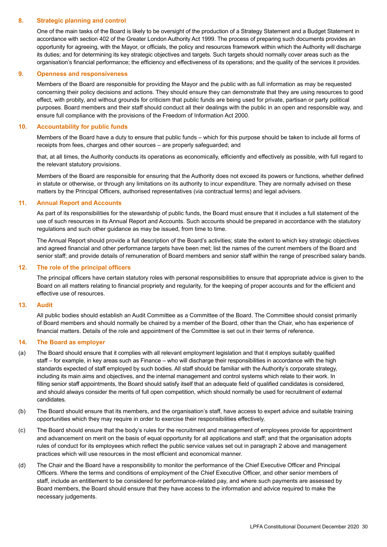#### **8. Strategic planning and control**

One of the main tasks of the Board is likely to be oversight of the production of a Strategy Statement and a Budget Statement in accordance with section 402 of the Greater London Authority Act 1999. The process of preparing such documents provides an opportunity for agreeing, with the Mayor, or officials, the policy and resources framework within which the Authority will discharge its duties; and for determining its key strategic objectives and targets. Such targets should normally cover areas such as the organisation's financial performance; the efficiency and effectiveness of its operations; and the quality of the services it provides.

#### **9. Openness and responsiveness**

Members of the Board are responsible for providing the Mayor and the public with as full information as may be requested concerning their policy decisions and actions. They should ensure they can demonstrate that they are using resources to good effect, with probity, and without grounds for criticism that public funds are being used for private, partisan or party political purposes. Board members and their staff should conduct all their dealings with the public in an open and responsible way, and ensure full compliance with the provisions of the Freedom of Information Act 2000.

#### **10. Accountability for public funds**

Members of the Board have a duty to ensure that public funds – which for this purpose should be taken to include all forms of receipts from fees, charges and other sources – are properly safeguarded; and

that, at all times, the Authority conducts its operations as economically, efficiently and effectively as possible, with full regard to the relevant statutory provisions.

Members of the Board are responsible for ensuring that the Authority does not exceed its powers or functions, whether defined in statute or otherwise, or through any limitations on its authority to incur expenditure. They are normally advised on these matters by the Principal Officers, authorised representatives (via contractual terms) and legal advisers.

#### **11. Annual Report and Accounts**

As part of its responsibilities for the stewardship of public funds, the Board must ensure that it includes a full statement of the use of such resources in its Annual Report and Accounts. Such accounts should be prepared in accordance with the statutory regulations and such other guidance as may be issued, from time to time.

The Annual Report should provide a full description of the Board's activities; state the extent to which key strategic objectives and agreed financial and other performance targets have been met; list the names of the current members of the Board and senior staff; and provide details of remuneration of Board members and senior staff within the range of prescribed salary bands.

#### **12. The role of the principal officers**

The principal officers have certain statutory roles with personal responsibilities to ensure that appropriate advice is given to the Board on all matters relating to financial propriety and regularity, for the keeping of proper accounts and for the efficient and effective use of resources.

#### **13. Audit**

All public bodies should establish an Audit Committee as a Committee of the Board. The Committee should consist primarily of Board members and should normally be chaired by a member of the Board, other than the Chair, who has experience of financial matters. Details of the role and appointment of the Committee is set out in their terms of reference.

#### **14. The Board as employer**

- (a) The Board should ensure that it complies with all relevant employment legislation and that it employs suitably qualified staff – for example, in key areas such as Finance – who will discharge their responsibilities in accordance with the high standards expected of staff employed by such bodies. All staff should be familiar with the Authority's corporate strategy, including its main aims and objectives, and the internal management and control systems which relate to their work. In filling senior staff appointments, the Board should satisfy itself that an adequate field of qualified candidates is considered, and should always consider the merits of full open competition, which should normally be used for recruitment of external candidates.
- (b) The Board should ensure that its members, and the organisation's staff, have access to expert advice and suitable training opportunities which they may require in order to exercise their responsibilities effectively.
- (c) The Board should ensure that the body's rules for the recruitment and management of employees provide for appointment and advancement on merit on the basis of equal opportunity for all applications and staff; and that the organisation adopts rules of conduct for its employees which reflect the public service values set out in paragraph 2 above and management practices which will use resources in the most efficient and economical manner.
- (d) The Chair and the Board have a responsibility to monitor the performance of the Chief Executive Officer and Principal Officers. Where the terms and conditions of employment of the Chief Executive Officer, and other senior members of staff, include an entitlement to be considered for performance-related pay, and where such payments are assessed by Board members, the Board should ensure that they have access to the information and advice required to make the necessary judgements.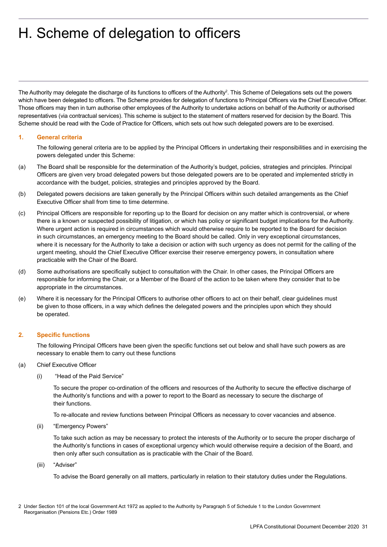# H. Scheme of delegation to officers

The Authority may delegate the discharge of its functions to officers of the Authority<sup>2</sup>. This Scheme of Delegations sets out the powers which have been delegated to officers. The Scheme provides for delegation of functions to Principal Officers via the Chief Executive Officer. Those officers may then in turn authorise other employees of the Authority to undertake actions on behalf of the Authority or authorised representatives (via contractual services). This scheme is subject to the statement of matters reserved for decision by the Board. This Scheme should be read with the Code of Practice for Officers, which sets out how such delegated powers are to be exercised.

#### **1. General criteria**

The following general criteria are to be applied by the Principal Officers in undertaking their responsibilities and in exercising the powers delegated under this Scheme:

- (a) The Board shall be responsible for the determination of the Authority's budget, policies, strategies and principles. Principal Officers are given very broad delegated powers but those delegated powers are to be operated and implemented strictly in accordance with the budget, policies, strategies and principles approved by the Board.
- (b) Delegated powers decisions are taken generally by the Principal Officers within such detailed arrangements as the Chief Executive Officer shall from time to time determine.
- (c) Principal Officers are responsible for reporting up to the Board for decision on any matter which is controversial, or where there is a known or suspected possibility of litigation, or which has policy or significant budget implications for the Authority. Where urgent action is required in circumstances which would otherwise require to be reported to the Board for decision in such circumstances, an emergency meeting to the Board should be called. Only in very exceptional circumstances, where it is necessary for the Authority to take a decision or action with such urgency as does not permit for the calling of the urgent meeting, should the Chief Executive Officer exercise their reserve emergency powers, in consultation where practicable with the Chair of the Board.
- (d) Some authorisations are specifically subject to consultation with the Chair. In other cases, the Principal Officers are responsible for informing the Chair, or a Member of the Board of the action to be taken where they consider that to be appropriate in the circumstances.
- (e) Where it is necessary for the Principal Officers to authorise other officers to act on their behalf, clear guidelines must be given to those officers, in a way which defines the delegated powers and the principles upon which they should be operated.

### **2. Specific functions**

The following Principal Officers have been given the specific functions set out below and shall have such powers as are necessary to enable them to carry out these functions

- (a) Chief Executive Officer
	- (i) "Head of the Paid Service"

To secure the proper co-ordination of the officers and resources of the Authority to secure the effective discharge of the Authority's functions and with a power to report to the Board as necessary to secure the discharge of their functions.

To re-allocate and review functions between Principal Officers as necessary to cover vacancies and absence.

(ii) "Emergency Powers"

 To take such action as may be necessary to protect the interests of the Authority or to secure the proper discharge of the Authority's functions in cases of exceptional urgency which would otherwise require a decision of the Board, and then only after such consultation as is practicable with the Chair of the Board.

(iii) "Adviser"

To advise the Board generally on all matters, particularly in relation to their statutory duties under the Regulations.

<sup>2</sup> Under Section 101 of the local Government Act 1972 as applied to the Authority by Paragraph 5 of Schedule 1 to the London Government Reorganisation (Pensions Etc.) Order 1989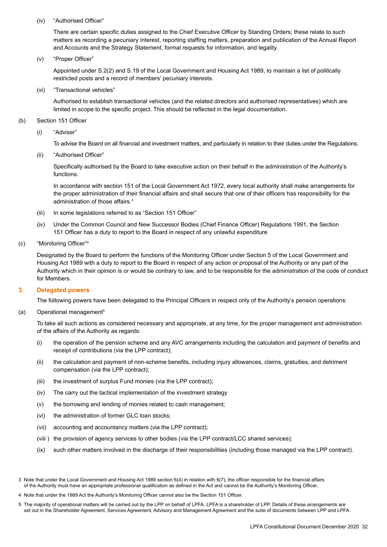#### (iv) "Authorised Officer"

There are certain specific duties assigned to the Chief Executive Officer by Standing Orders; these relate to such matters as recording a pecuniary interest, reporting staffing matters, preparation and publication of the Annual Report and Accounts and the Strategy Statement, formal requests for information, and legality.

#### (v) "Proper Officer"

 Appointed under S.2(2) and S.19 of the Local Government and Housing Act 1989, to maintain a list of politically restricted posts and a record of members' pecuniary interests.

(vi) "Transactional vehicles"

 Authorised to establish transactional vehicles (and the related directors and authorised representatives) which are limited in scope to the specific project. This should be reflected in the legal documentation.

#### (b) Section 151 Officer

(i) "Adviser"

To advise the Board on all financial and investment matters, and particularly in relation to their duties under the Regulations.

(ii) "Authorised Officer"

Specifically authorised by the Board to take executive action on their behalf in the administration of the Authority's functions.

In accordance with section 151 of the Local Government Act 1972, every local authority shall make arrangements for the proper administration of their financial affairs and shall secure that one of their officers has responsibility for the administration of those affairs.<sup>3</sup>

- (iii) In some legislations referred to as "Section 151 Officer"
- (iv) Under the Common Council and New Successor Bodies (Chief Finance Officer) Regulations 1991, the Section 151 Officer has a duty to report to the Board in respect of any unlawful expenditure
- (c) "Monitoring Officer"<sup>4</sup>

Designated by the Board to perform the functions of the Monitoring Officer under Section 5 of the Local Government and Housing Act 1989 with a duty to report to the Board in respect of any action or proposal of the Authority or any part of the Authority which in their opinion is or would be contrary to law, and to be responsible for the administration of the code of conduct for Members.

#### **3. Delegated powers**

The following powers have been delegated to the Principal Officers in respect only of the Authority's pension operations:

(a) Operational management<sup>5</sup>

To take all such actions as considered necessary and appropriate, at any time, for the proper management and administration of the affairs of the Authority as regards:

- (i) the operation of the pension scheme and any AVC arrangements including the calculation and payment of benefits and receipt of contributions (via the LPP contract);
- (ii) the calculation and payment of non-scheme benefits, including injury allowances, claims, gratuities, and detriment compensation (via the LPP contract);
- (iii) the investment of surplus Fund monies (via the LPP contract);
- (iv) The carry out the tactical implementation of the investment strategy
- (v) the borrowing and lending of monies related to cash management;
- (vi) the administration of former GLC loan stocks;
- (vii) accounting and accountancy matters (via the LPP contract);
- (viii ) the provision of agency services to other bodies (via the LPP contract/LCC shared services);
- (ix) such other matters involved in the discharge of their responsibilities (including those managed via the LPP contract).

4 Note that under the 1989 Act the Authority's Monitoring Officer cannot also be the Section 151 Officer.

<sup>3</sup> Note that under the Local Government and Housing Act 1989 section 6(4) in relation with 6(7), the officer responsible for the financial affairs of the Authority must have an appropriate professional qualification as defined in the Act and cannot be the Authority's Monitoring Officer.

<sup>5</sup> The majority of operational matters will be carried out by the LPP on behalf of LPFA. LPFA is a shareholder of LPP. Details of these arrangements are set out in the Shareholder Agreement, Services Agreement, Advisory and Management Agreement and the suite of documents between LPP and LPFA.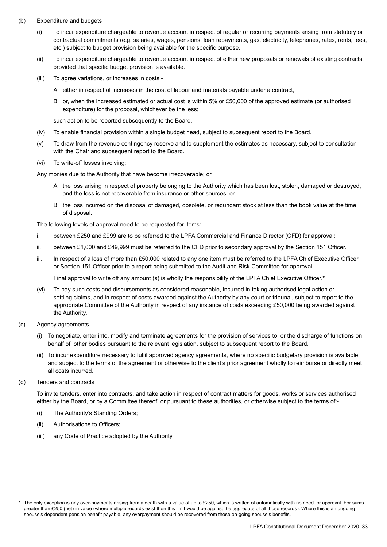#### (b) Expenditure and budgets

- (i) To incur expenditure chargeable to revenue account in respect of regular or recurring payments arising from statutory or contractual commitments (e.g. salaries, wages, pensions, loan repayments, gas, electricity, telephones, rates, rents, fees, etc.) subject to budget provision being available for the specific purpose.
- (ii) To incur expenditure chargeable to revenue account in respect of either new proposals or renewals of existing contracts, provided that specific budget provision is available.
- (iii) To agree variations, or increases in costs
	- A either in respect of increases in the cost of labour and materials payable under a contract,
	- B or, when the increased estimated or actual cost is within 5% or £50,000 of the approved estimate (or authorised expenditure) for the proposal, whichever be the less;

such action to be reported subsequently to the Board.

- (iv) To enable financial provision within a single budget head, subject to subsequent report to the Board.
- (v) To draw from the revenue contingency reserve and to supplement the estimates as necessary, subject to consultation with the Chair and subsequent report to the Board.
- (vi) To write-off losses involving;

Any monies due to the Authority that have become irrecoverable; or

- A the loss arising in respect of property belonging to the Authority which has been lost, stolen, damaged or destroyed, and the loss is not recoverable from insurance or other sources; or
- B the loss incurred on the disposal of damaged, obsolete, or redundant stock at less than the book value at the time of disposal.

The following levels of approval need to be requested for items:

- i. between £250 and £999 are to be referred to the LPFA Commercial and Finance Director (CFD) for approval;
- ii. between £1,000 and £49,999 must be referred to the CFD prior to secondary approval by the Section 151 Officer.
- iii. In respect of a loss of more than £50,000 related to any one item must be referred to the LPFA Chief Executive Officer or Section 151 Officer prior to a report being submitted to the Audit and Risk Committee for approval.

Final approval to write off any amount (s) is wholly the responsibility of the LPFA Chief Executive Officer.\*

- (vi) To pay such costs and disbursements as considered reasonable, incurred in taking authorised legal action or settling claims, and in respect of costs awarded against the Authority by any court or tribunal, subject to report to the appropriate Committee of the Authority in respect of any instance of costs exceeding £50,000 being awarded against the Authority.
- (c) Agency agreements
	- (i) To negotiate, enter into, modify and terminate agreements for the provision of services to, or the discharge of functions on behalf of, other bodies pursuant to the relevant legislation, subject to subsequent report to the Board.
	- (ii) To incur expenditure necessary to fulfil approved agency agreements, where no specific budgetary provision is available and subject to the terms of the agreement or otherwise to the client's prior agreement wholly to reimburse or directly meet all costs incurred.
- (d) Tenders and contracts

To invite tenders, enter into contracts, and take action in respect of contract matters for goods, works or services authorised either by the Board, or by a Committee thereof, or pursuant to these authorities, or otherwise subject to the terms of:-

- (i) The Authority's Standing Orders;
- (ii) Authorisations to Officers;
- (iii) any Code of Practice adopted by the Authority.

The only exception is any over-payments arising from a death with a value of up to £250, which is written of automatically with no need for approval. For sums greater than £250 (net) in value (where multiple records exist then this limit would be against the aggregate of all those records). Where this is an ongoing spouse's dependent pension benefit payable, any overpayment should be recovered from those on-going spouse's benefits.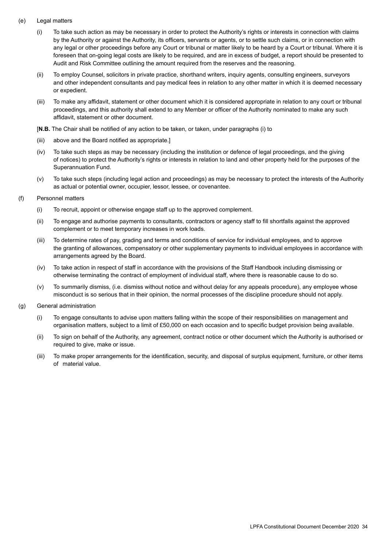- (e) Legal matters
	- (i) To take such action as may be necessary in order to protect the Authority's rights or interests in connection with claims by the Authority or against the Authority, its officers, servants or agents, or to settle such claims, or in connection with any legal or other proceedings before any Court or tribunal or matter likely to be heard by a Court or tribunal. Where it is foreseen that on-going legal costs are likely to be required, and are in excess of budget, a report should be presented to Audit and Risk Committee outlining the amount required from the reserves and the reasoning.
	- (ii) To employ Counsel, solicitors in private practice, shorthand writers, inquiry agents, consulting engineers, surveyors and other independent consultants and pay medical fees in relation to any other matter in which it is deemed necessary or expedient.
	- (iii) To make any affidavit, statement or other document which it is considered appropriate in relation to any court or tribunal proceedings, and this authority shall extend to any Member or officer of the Authority nominated to make any such affidavit, statement or other document.
	- [**N.B.** The Chair shall be notified of any action to be taken, or taken, under paragraphs (i) to
	- (iii) above and the Board notified as appropriate.]
	- (iv) To take such steps as may be necessary (including the institution or defence of legal proceedings, and the giving of notices) to protect the Authority's rights or interests in relation to land and other property held for the purposes of the Superannuation Fund.
	- (v) To take such steps (including legal action and proceedings) as may be necessary to protect the interests of the Authority as actual or potential owner, occupier, lessor, lessee, or covenantee.

#### (f) Personnel matters

- (i) To recruit, appoint or otherwise engage staff up to the approved complement.
- (ii) To engage and authorise payments to consultants, contractors or agency staff to fill shortfalls against the approved complement or to meet temporary increases in work loads.
- (iii) To determine rates of pay, grading and terms and conditions of service for individual employees, and to approve the granting of allowances, compensatory or other supplementary payments to individual employees in accordance with arrangements agreed by the Board.
- (iv) To take action in respect of staff in accordance with the provisions of the Staff Handbook including dismissing or otherwise terminating the contract of employment of individual staff, where there is reasonable cause to do so.
- (v) To summarily dismiss, (i.e. dismiss without notice and without delay for any appeals procedure), any employee whose misconduct is so serious that in their opinion, the normal processes of the discipline procedure should not apply.

#### (g) General administration

- (i) To engage consultants to advise upon matters falling within the scope of their responsibilities on management and organisation matters, subject to a limit of £50,000 on each occasion and to specific budget provision being available.
- (ii) To sign on behalf of the Authority, any agreement, contract notice or other document which the Authority is authorised or required to give, make or issue.
- (iii) To make proper arrangements for the identification, security, and disposal of surplus equipment, furniture, or other items of material value.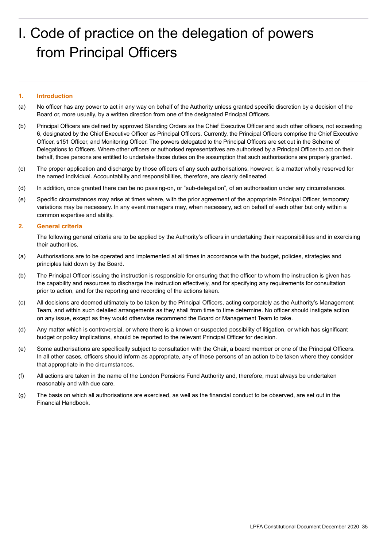# I. Code of practice on the delegation of powers from Principal Officers

## **1. Introduction**

- (a) No officer has any power to act in any way on behalf of the Authority unless granted specific discretion by a decision of the Board or, more usually, by a written direction from one of the designated Principal Officers.
- (b) Principal Officers are defined by approved Standing Orders as the Chief Executive Officer and such other officers, not exceeding 6, designated by the Chief Executive Officer as Principal Officers. Currently, the Principal Officers comprise the Chief Executive Officer, s151 Officer, and Monitoring Officer. The powers delegated to the Principal Officers are set out in the Scheme of Delegations to Officers. Where other officers or authorised representatives are authorised by a Principal Officer to act on their behalf, those persons are entitled to undertake those duties on the assumption that such authorisations are properly granted.
- (c) The proper application and discharge by those officers of any such authorisations, however, is a matter wholly reserved for the named individual. Accountability and responsibilities, therefore, are clearly delineated.
- (d) In addition, once granted there can be no passing-on, or "sub-delegation", of an authorisation under any circumstances.
- (e) Specific circumstances may arise at times where, with the prior agreement of the appropriate Principal Officer, temporary variations may be necessary. In any event managers may, when necessary, act on behalf of each other but only within a common expertise and ability.

### **2. General criteria**

The following general criteria are to be applied by the Authority's officers in undertaking their responsibilities and in exercising their authorities.

- (a) Authorisations are to be operated and implemented at all times in accordance with the budget, policies, strategies and principles laid down by the Board.
- (b) The Principal Officer issuing the instruction is responsible for ensuring that the officer to whom the instruction is given has the capability and resources to discharge the instruction effectively, and for specifying any requirements for consultation prior to action, and for the reporting and recording of the actions taken.
- (c) All decisions are deemed ultimately to be taken by the Principal Officers, acting corporately as the Authority's Management Team, and within such detailed arrangements as they shall from time to time determine. No officer should instigate action on any issue, except as they would otherwise recommend the Board or Management Team to take.
- (d) Any matter which is controversial, or where there is a known or suspected possibility of litigation, or which has significant budget or policy implications, should be reported to the relevant Principal Officer for decision.
- (e) Some authorisations are specifically subject to consultation with the Chair, a board member or one of the Principal Officers. In all other cases, officers should inform as appropriate, any of these persons of an action to be taken where they consider that appropriate in the circumstances.
- (f) All actions are taken in the name of the London Pensions Fund Authority and, therefore, must always be undertaken reasonably and with due care.
- (g) The basis on which all authorisations are exercised, as well as the financial conduct to be observed, are set out in the Financial Handbook.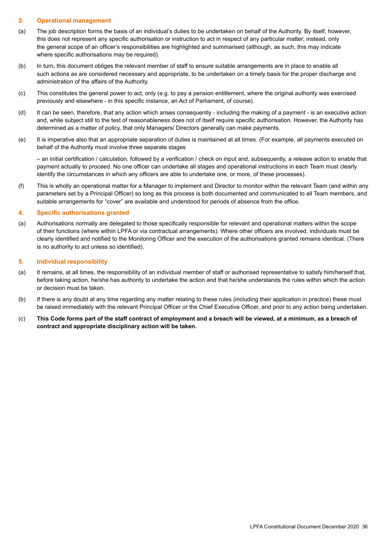### **3. Operational management**

- (a) The job description forms the basis of an individual's duties to be undertaken on behalf of the Authority. By itself, however, this does not represent any specific authorisation or instruction to act in respect of any particular matter; instead, only the general scope of an officer's responsibilities are highlighted and summarised (although, as such, this may indicate where specific authorisations may be required).
- (b) In turn, this document obliges the relevant member of staff to ensure suitable arrangements are in place to enable all such actions as are considered necessary and appropriate, to be undertaken on a timely basis for the proper discharge and administration of the affairs of the Authority.
- (c) This constitutes the general power to act, only (e.g. to pay a pension entitlement, where the original authority was exercised previously and elsewhere - in this specific instance, an Act of Parliament, of course).
- (d) It can be seen, therefore, that any action which arises consequently including the making of a payment is an executive action and, while subject still to the test of reasonableness does not of itself require specific authorisation. However, the Authority has determined as a matter of policy, that only Managers/ Directors generally can make payments.
- (e) It is imperative also that an appropriate separation of duties is maintained at all times. (For example, all payments executed on behalf of the Authority must involve three separate stages

– an initial certification / calculation, followed by a verification / check on input and, subsequently, a release action to enable that payment actually to proceed. No one officer can undertake all stages and operational instructions in each Team must clearly identify the circumstances in which any officers are able to undertake one, or more, of these processes).

(f) This is wholly an operational matter for a Manager to implement and Director to monitor within the relevant Team (and within any parameters set by a Principal Officer) so long as this process is both documented and communicated to all Team members, and suitable arrangements for "cover" are available and understood for periods of absence from the office.

#### **4. Specific authorisations granted**

(a) Authorisations normally are delegated to those specifically responsible for relevant and operational matters within the scope of their functions (where within LPFA or via contractual arrangements). Where other officers are involved, individuals must be clearly identified and notified to the Monitoring Officer and the execution of the authorisations granted remains identical. (There is no authority to act unless so identified).

#### **5. Individual responsibility**

- (a) It remains, at all times, the responsibility of an individual member of staff or authorised representative to satisfy him/herself that, before taking action, he/she has authority to undertake the action and that he/she understands the rules within which the action or decision must be taken.
- (b) If there is any doubt at any time regarding any matter relating to these rules (including their application in practice) these must be raised immediately with the relevant Principal Officer or the Chief Executive Officer, and prior to any action being undertaken.
- (c) **This Code forms part of the staff contract of employment and a breach will be viewed, at a minimum, as a breach of contract and appropriate disciplinary action will be taken.**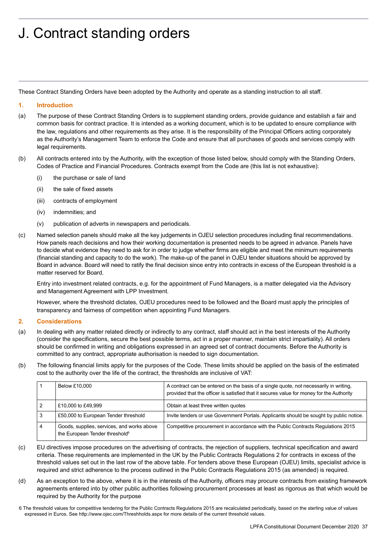# J. Contract standing orders

These Contract Standing Orders have been adopted by the Authority and operate as a standing instruction to all staff.

### **1. Introduction**

- (a) The purpose of these Contract Standing Orders is to supplement standing orders, provide guidance and establish a fair and common basis for contract practice. It is intended as a working document, which is to be updated to ensure compliance with the law, regulations and other requirements as they arise. It is the responsibility of the Principal Officers acting corporately as the Authority's Management Team to enforce the Code and ensure that all purchases of goods and services comply with legal requirements.
- (b) All contracts entered into by the Authority, with the exception of those listed below, should comply with the Standing Orders, Codes of Practice and Financial Procedures. Contracts exempt from the Code are (this list is not exhaustive):
	- (i) the purchase or sale of land
	- (ii) the sale of fixed assets
	- (iii) contracts of employment
	- (iv) indemnities; and
	- (v) publication of adverts in newspapers and periodicals.
- (c) Named selection panels should make all the key judgements in OJEU selection procedures including final recommendations. How panels reach decisions and how their working documentation is presented needs to be agreed in advance. Panels have to decide what evidence they need to ask for in order to judge whether firms are eligible and meet the minimum requirements (financial standing and capacity to do the work). The make-up of the panel in OJEU tender situations should be approved by Board in advance. Board will need to ratify the final decision since entry into contracts in excess of the European threshold is a matter reserved for Board.

Entry into investment related contracts, e.g. for the appointment of Fund Managers, is a matter delegated via the Advisory and Management Agreement with LPP Investment.

However, where the threshold dictates, OJEU procedures need to be followed and the Board must apply the principles of transparency and fairness of competition when appointing Fund Managers.

#### **2. Considerations**

- (a) In dealing with any matter related directly or indirectly to any contract, staff should act in the best interests of the Authority (consider the specifications, secure the best possible terms, act in a proper manner, maintain strict impartiality). All orders should be confirmed in writing and obligations expressed in an agreed set of contract documents. Before the Authority is committed to any contract, appropriate authorisation is needed to sign documentation.
- (b) The following financial limits apply for the purposes of the Code. These limits should be applied on the basis of the estimated cost to the authority over the life of the contract, the thresholds are inclusive of VAT:

|            | Below £10,000                                                                            | A contract can be entered on the basis of a single quote, not necessarily in writing,<br>provided that the officer is satisfied that it secures value for money for the Authority |
|------------|------------------------------------------------------------------------------------------|-----------------------------------------------------------------------------------------------------------------------------------------------------------------------------------|
| $\sqrt{2}$ | £10,000 to £49,999                                                                       | Obtain at least three written quotes                                                                                                                                              |
| $\sqrt{3}$ | £50,000 to European Tender threshold                                                     | Invite tenders or use Government Portals. Applicants should be sought by public notice.                                                                                           |
| $\vert$ 4  | Goods, supplies, services, and works above<br>the European Tender threshold <sup>6</sup> | Competitive procurement in accordance with the Public Contracts Regulations 2015                                                                                                  |

- (c) EU directives impose procedures on the advertising of contracts, the rejection of suppliers, technical specification and award criteria. These requirements are implemented in the UK by the Public Contracts Regulations 2 for contracts in excess of the threshold values set out in the last row of the above table. For tenders above these European (OJEU) limits, specialist advice is required and strict adherence to the process outlined in the Public Contracts Regulations 2015 (as amended) is required.
- (d) As an exception to the above, where it is in the interests of the Authority, officers may procure contracts from existing framework agreements entered into by other public authorities following procurement processes at least as rigorous as that which would be required by the Authority for the purpose
- 6 The threshold values for competitive tendering for the Public Contracts Regulations 2015 are recalculated periodically, based on the sterling value of values expressed in Euros. See http://www.ojec.com/Threshholds.aspx for more details of the current threshold values.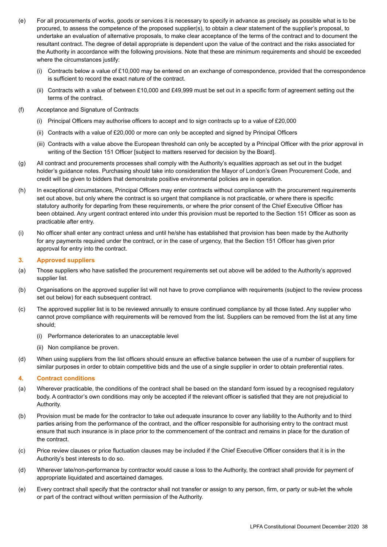- (e) For all procurements of works, goods or services it is necessary to specify in advance as precisely as possible what is to be procured, to assess the competence of the proposed supplier(s), to obtain a clear statement of the supplier's proposal, to undertake an evaluation of alternative proposals, to make clear acceptance of the terms of the contract and to document the resultant contract. The degree of detail appropriate is dependent upon the value of the contract and the risks associated for the Authority in accordance with the following provisions. Note that these are minimum requirements and should be exceeded where the circumstances justify:
	- (i) Contracts below a value of £10,000 may be entered on an exchange of correspondence, provided that the correspondence is sufficient to record the exact nature of the contract.
	- (ii) Contracts with a value of between £10,000 and £49,999 must be set out in a specific form of agreement setting out the terms of the contract.
- (f) Acceptance and Signature of Contracts
	- (i) Principal Officers may authorise officers to accept and to sign contracts up to a value of £20,000
	- (ii) Contracts with a value of £20,000 or more can only be accepted and signed by Principal Officers
	- (iii) Contracts with a value above the European threshold can only be accepted by a Principal Officer with the prior approval in writing of the Section 151 Officer [subject to matters reserved for decision by the Board].
- (g) All contract and procurements processes shall comply with the Authority's equalities approach as set out in the budget holder's guidance notes. Purchasing should take into consideration the Mayor of London's Green Procurement Code, and credit will be given to bidders that demonstrate positive environmental policies are in operation.
- (h) In exceptional circumstances, Principal Officers may enter contracts without compliance with the procurement requirements set out above, but only where the contract is so urgent that compliance is not practicable, or where there is specific statutory authority for departing from these requirements, or where the prior consent of the Chief Executive Officer has been obtained. Any urgent contract entered into under this provision must be reported to the Section 151 Officer as soon as practicable after entry.
- (i) No officer shall enter any contract unless and until he/she has established that provision has been made by the Authority for any payments required under the contract, or in the case of urgency, that the Section 151 Officer has given prior approval for entry into the contract.

#### **3. Approved suppliers**

- (a) Those suppliers who have satisfied the procurement requirements set out above will be added to the Authority's approved supplier list.
- (b) Organisations on the approved supplier list will not have to prove compliance with requirements (subject to the review process set out below) for each subsequent contract.
- (c) The approved supplier list is to be reviewed annually to ensure continued compliance by all those listed. Any supplier who cannot prove compliance with requirements will be removed from the list. Suppliers can be removed from the list at any time should;
	- (i) Performance deteriorates to an unacceptable level
	- (ii) Non compliance be proven.
- (d) When using suppliers from the list officers should ensure an effective balance between the use of a number of suppliers for similar purposes in order to obtain competitive bids and the use of a single supplier in order to obtain preferential rates.

### **4. Contract conditions**

- (a) Wherever practicable, the conditions of the contract shall be based on the standard form issued by a recognised regulatory body. A contractor's own conditions may only be accepted if the relevant officer is satisfied that they are not prejudicial to Authority.
- (b) Provision must be made for the contractor to take out adequate insurance to cover any liability to the Authority and to third parties arising from the performance of the contract, and the officer responsible for authorising entry to the contract must ensure that such insurance is in place prior to the commencement of the contract and remains in place for the duration of the contract.
- (c) Price review clauses or price fluctuation clauses may be included if the Chief Executive Officer considers that it is in the Authority's best interests to do so.
- (d) Wherever late/non-performance by contractor would cause a loss to the Authority, the contract shall provide for payment of appropriate liquidated and ascertained damages.
- (e) Every contract shall specify that the contractor shall not transfer or assign to any person, firm, or party or sub-let the whole or part of the contract without written permission of the Authority.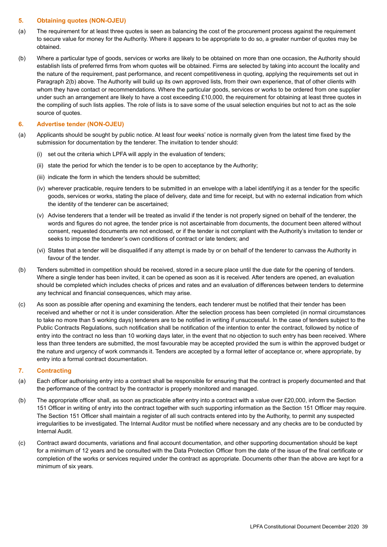### **5. Obtaining quotes (NON-OJEU)**

- (a) The requirement for at least three quotes is seen as balancing the cost of the procurement process against the requirement to secure value for money for the Authority. Where it appears to be appropriate to do so, a greater number of quotes may be obtained.
- (b) Where a particular type of goods, services or works are likely to be obtained on more than one occasion, the Authority should establish lists of preferred firms from whom quotes will be obtained. Firms are selected by taking into account the locality and the nature of the requirement, past performance, and recent competitiveness in quoting, applying the requirements set out in Paragraph 2(b) above. The Authority will build up its own approved lists, from their own experience, that of other clients with whom they have contact or recommendations. Where the particular goods, services or works to be ordered from one supplier under such an arrangement are likely to have a cost exceeding £10,000, the requirement for obtaining at least three quotes in the compiling of such lists applies. The role of lists is to save some of the usual selection enquiries but not to act as the sole source of quotes.

# **6. Advertise tender (NON-OJEU)**

- (a) Applicants should be sought by public notice. At least four weeks' notice is normally given from the latest time fixed by the submission for documentation by the tenderer. The invitation to tender should:
	- (i) set out the criteria which LPFA will apply in the evaluation of tenders;
	- (ii) state the period for which the tender is to be open to acceptance by the Authority;
	- (iii) indicate the form in which the tenders should be submitted;
	- (iv) wherever practicable, require tenders to be submitted in an envelope with a label identifying it as a tender for the specific goods, services or works, stating the place of delivery, date and time for receipt, but with no external indication from which the identity of the tenderer can be ascertained;
	- (v) Advise tenderers that a tender will be treated as invalid if the tender is not properly signed on behalf of the tenderer, the words and figures do not agree, the tender price is not ascertainable from documents, the document been altered without consent, requested documents are not enclosed, or if the tender is not compliant with the Authority's invitation to tender or seeks to impose the tenderer's own conditions of contract or late tenders; and
	- (vi) States that a tender will be disqualified if any attempt is made by or on behalf of the tenderer to canvass the Authority in favour of the tender.
- (b) Tenders submitted in competition should be received, stored in a secure place until the due date for the opening of tenders. Where a single tender has been invited, it can be opened as soon as it is received. After tenders are opened, an evaluation should be completed which includes checks of prices and rates and an evaluation of differences between tenders to determine any technical and financial consequences, which may arise.
- (c) As soon as possible after opening and examining the tenders, each tenderer must be notified that their tender has been received and whether or not it is under consideration. After the selection process has been completed (in normal circumstances to take no more than 5 working days) tenderers are to be notified in writing if unsuccessful. In the case of tenders subject to the Public Contracts Regulations, such notification shall be notification of the intention to enter the contract, followed by notice of entry into the contract no less than 10 working days later, in the event that no objection to such entry has been received. Where less than three tenders are submitted, the most favourable may be accepted provided the sum is within the approved budget or the nature and urgency of work commands it. Tenders are accepted by a formal letter of acceptance or, where appropriate, by entry into a formal contract documentation.

### **7. Contracting**

- (a) Each officer authorising entry into a contract shall be responsible for ensuring that the contract is properly documented and that the performance of the contract by the contractor is properly monitored and managed.
- (b) The appropriate officer shall, as soon as practicable after entry into a contract with a value over £20,000, inform the Section 151 Officer in writing of entry into the contract together with such supporting information as the Section 151 Officer may require. The Section 151 Officer shall maintain a register of all such contracts entered into by the Authority, to permit any suspected irregularities to be investigated. The Internal Auditor must be notified where necessary and any checks are to be conducted by Internal Audit.
- (c) Contract award documents, variations and final account documentation, and other supporting documentation should be kept for a minimum of 12 years and be consulted with the Data Protection Officer from the date of the issue of the final certificate or completion of the works or services required under the contract as appropriate. Documents other than the above are kept for a minimum of six years.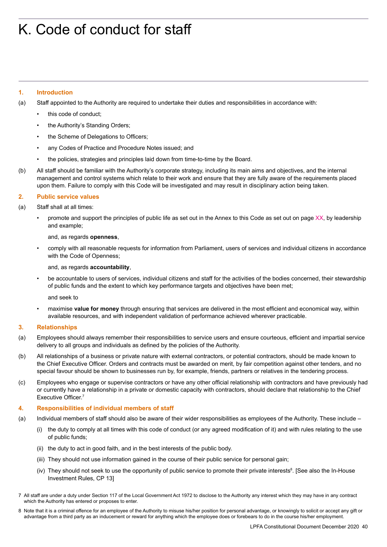# K. Code of conduct for staff

## **1. Introduction**

- (a) Staff appointed to the Authority are required to undertake their duties and responsibilities in accordance with:
	- this code of conduct;
	- the Authority's Standing Orders;
	- the Scheme of Delegations to Officers;
	- any Codes of Practice and Procedure Notes issued; and
	- the policies, strategies and principles laid down from time-to-time by the Board.
- (b) All staff should be familiar with the Authority's corporate strategy, including its main aims and objectives, and the internal management and control systems which relate to their work and ensure that they are fully aware of the requirements placed upon them. Failure to comply with this Code will be investigated and may result in disciplinary action being taken.

#### **2. Public service values**

- (a) Staff shall at all times:
	- promote and support the principles of public life as set out in the Annex to this Code as set out on page XX, by leadership and example;

#### and, as regards **openness**,

• comply with all reasonable requests for information from Parliament, users of services and individual citizens in accordance with the Code of Openness;

#### and, as regards **accountability**,

• be accountable to users of services, individual citizens and staff for the activities of the bodies concerned, their stewardship of public funds and the extent to which key performance targets and objectives have been met;

and seek to

• maximise **value for money** through ensuring that services are delivered in the most efficient and economical way, within available resources, and with independent validation of performance achieved wherever practicable.

#### **3. Relationships**

- (a) Employees should always remember their responsibilities to service users and ensure courteous, efficient and impartial service delivery to all groups and individuals as defined by the policies of the Authority.
- (b) All relationships of a business or private nature with external contractors, or potential contractors, should be made known to the Chief Executive Officer. Orders and contracts must be awarded on merit, by fair competition against other tenders, and no special favour should be shown to businesses run by, for example, friends, partners or relatives in the tendering process.
- (c) Employees who engage or supervise contractors or have any other official relationship with contractors and have previously had or currently have a relationship in a private or domestic capacity with contractors, should declare that relationship to the Chief Executive Officer.<sup>7</sup>

#### **4. Responsibilities of individual members of staff**

- (a) Individual members of staff should also be aware of their wider responsibilities as employees of the Authority. These include
	- (i) the duty to comply at all times with this code of conduct (or any agreed modification of it) and with rules relating to the use of public funds;
	- (ii) the duty to act in good faith, and in the best interests of the public body.
	- (iii) They should not use information gained in the course of their public service for personal gain;
	- (iv) They should not seek to use the opportunity of public service to promote their private interests<sup>8</sup>. [See also the In-House Investment Rules, CP 13]
- 7 All staff are under a duty under Section 117 of the Local Government Act 1972 to disclose to the Authority any interest which they may have in any contract which the Authority has entered or proposes to enter.
- 8 Note that it is a criminal offence for an employee of the Authority to misuse his/her position for personal advantage, or knowingly to solicit or accept any gift or advantage from a third party as an inducement or reward for anything which the employee does or forebears to do in the course his/her employment.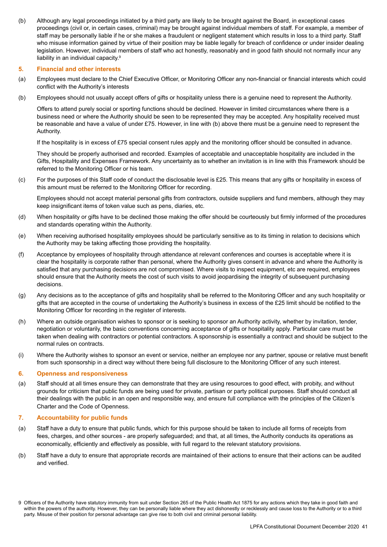(b) Although any legal proceedings initiated by a third party are likely to be brought against the Board, in exceptional cases proceedings (civil or, in certain cases, criminal) may be brought against individual members of staff. For example, a member of staff may be personally liable if he or she makes a fraudulent or negligent statement which results in loss to a third party. Staff who misuse information gained by virtue of their position may be liable legally for breach of confidence or under insider dealing legislation. However, individual members of staff who act honestly, reasonably and in good faith should not normally incur any liability in an individual capacity.<sup>9</sup>

#### **5. Financial and other interests**

- (a) Employees must declare to the Chief Executive Officer, or Monitoring Officer any non-financial or financial interests which could conflict with the Authority's interests
- (b) Employees should not usually accept offers of gifts or hospitality unless there is a genuine need to represent the Authority.

Offers to attend purely social or sporting functions should be declined. However in limited circumstances where there is a business need or where the Authority should be seen to be represented they may be accepted. Any hospitality received must be reasonable and have a value of under £75. However, in line with (b) above there must be a genuine need to represent the Authority.

If the hospitality is in excess of £75 special consent rules apply and the monitoring officer should be consulted in advance.

They should be properly authorised and recorded. Examples of acceptable and unacceptable hospitality are included in the Gifts, Hospitality and Expenses Framework. Any uncertainty as to whether an invitation is in line with this Framework should be referred to the Monitoring Officer or his team.

(c) For the purposes of this Staff code of conduct the disclosable level is £25. This means that any gifts or hospitality in excess of this amount must be referred to the Monitoring Officer for recording.

Employees should not accept material personal gifts from contractors, outside suppliers and fund members, although they may keep insignificant items of token value such as pens, diaries, etc.

- (d) When hospitality or gifts have to be declined those making the offer should be courteously but firmly informed of the procedures and standards operating within the Authority.
- (e) When receiving authorised hospitality employees should be particularly sensitive as to its timing in relation to decisions which the Authority may be taking affecting those providing the hospitality.
- (f) Acceptance by employees of hospitality through attendance at relevant conferences and courses is acceptable where it is clear the hospitality is corporate rather than personal, where the Authority gives consent in advance and where the Authority is satisfied that any purchasing decisions are not compromised. Where visits to inspect equipment, etc are required, employees should ensure that the Authority meets the cost of such visits to avoid jeopardising the integrity of subsequent purchasing decisions.
- (g) Any decisions as to the acceptance of gifts and hospitality shall be referred to the Monitoring Officer and any such hospitality or gifts that are accepted in the course of undertaking the Authority's business in excess of the £25 limit should be notified to the Monitoring Officer for recording in the register of interests.
- (h) Where an outside organisation wishes to sponsor or is seeking to sponsor an Authority activity, whether by invitation, tender, negotiation or voluntarily, the basic conventions concerning acceptance of gifts or hospitality apply. Particular care must be taken when dealing with contractors or potential contractors. A sponsorship is essentially a contract and should be subject to the normal rules on contracts.
- (i) Where the Authority wishes to sponsor an event or service, neither an employee nor any partner, spouse or relative must benefit from such sponsorship in a direct way without there being full disclosure to the Monitoring Officer of any such interest.

### **6. Openness and responsiveness**

(a) Staff should at all times ensure they can demonstrate that they are using resources to good effect, with probity, and without grounds for criticism that public funds are being used for private, partisan or party political purposes. Staff should conduct all their dealings with the public in an open and responsible way, and ensure full compliance with the principles of the Citizen's Charter and the Code of Openness.

### **7. Accountability for public funds**

- (a) Staff have a duty to ensure that public funds, which for this purpose should be taken to include all forms of receipts from fees, charges, and other sources - are properly safeguarded; and that, at all times, the Authority conducts its operations as economically, efficiently and effectively as possible, with full regard to the relevant statutory provisions.
- (b) Staff have a duty to ensure that appropriate records are maintained of their actions to ensure that their actions can be audited and verified.

<sup>9</sup> Officers of the Authority have statutory immunity from suit under Section 265 of the Public Health Act 1875 for any actions which they take in good faith and within the powers of the authority. However, they can be personally liable where they act dishonestly or recklessly and cause loss to the Authority or to a third party. Misuse of their position for personal advantage can give rise to both civil and criminal personal liability.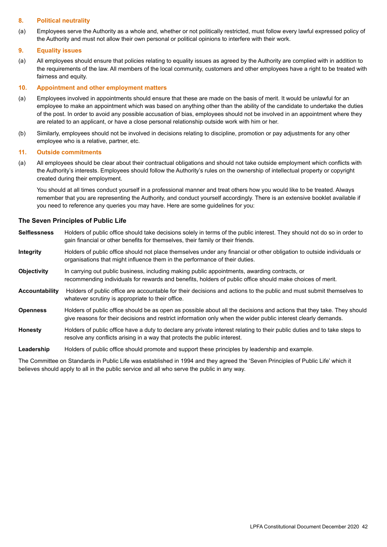#### **8. Political neutrality**

(a) Employees serve the Authority as a whole and, whether or not politically restricted, must follow every lawful expressed policy of the Authority and must not allow their own personal or political opinions to interfere with their work.

#### **9. Equality issues**

(a) All employees should ensure that policies relating to equality issues as agreed by the Authority are complied with in addition to the requirements of the law. All members of the local community, customers and other employees have a right to be treated with fairness and equity.

#### **10. Appointment and other employment matters**

- (a) Employees involved in appointments should ensure that these are made on the basis of merit. It would be unlawful for an employee to make an appointment which was based on anything other than the ability of the candidate to undertake the duties of the post. In order to avoid any possible accusation of bias, employees should not be involved in an appointment where they are related to an applicant, or have a close personal relationship outside work with him or her.
- (b) Similarly, employees should not be involved in decisions relating to discipline, promotion or pay adjustments for any other employee who is a relative, partner, etc.

#### **11. Outside commitments**

(a) All employees should be clear about their contractual obligations and should not take outside employment which conflicts with the Authority's interests. Employees should follow the Authority's rules on the ownership of intellectual property or copyright created during their employment.

You should at all times conduct yourself in a professional manner and treat others how you would like to be treated. Always remember that you are representing the Authority, and conduct yourself accordingly. There is an extensive booklet available if you need to reference any queries you may have. Here are some guidelines for you:

#### **The Seven Principles of Public Life**

| <b>Selflessness</b>   | Holders of public office should take decisions solely in terms of the public interest. They should not do so in order to<br>gain financial or other benefits for themselves, their family or their friends.                              |
|-----------------------|------------------------------------------------------------------------------------------------------------------------------------------------------------------------------------------------------------------------------------------|
| Integrity             | Holders of public office should not place themselves under any financial or other obligation to outside individuals or<br>organisations that might influence them in the performance of their duties.                                    |
| <b>Objectivity</b>    | In carrying out public business, including making public appointments, awarding contracts, or<br>recommending individuals for rewards and benefits, holders of public office should make choices of merit.                               |
| <b>Accountability</b> | Holders of public office are accountable for their decisions and actions to the public and must submit themselves to<br>whatever scrutiny is appropriate to their office.                                                                |
| <b>Openness</b>       | Holders of public office should be as open as possible about all the decisions and actions that they take. They should<br>give reasons for their decisions and restrict information only when the wider public interest clearly demands. |
| <b>Honesty</b>        | Holders of public office have a duty to declare any private interest relating to their public duties and to take steps to<br>resolve any conflicts arising in a way that protects the public interest.                                   |
| Leadership            | Holders of public office should promote and support these principles by leadership and example.                                                                                                                                          |

The Committee on Standards in Public Life was established in 1994 and they agreed the 'Seven Principles of Public Life' which it believes should apply to all in the public service and all who serve the public in any way.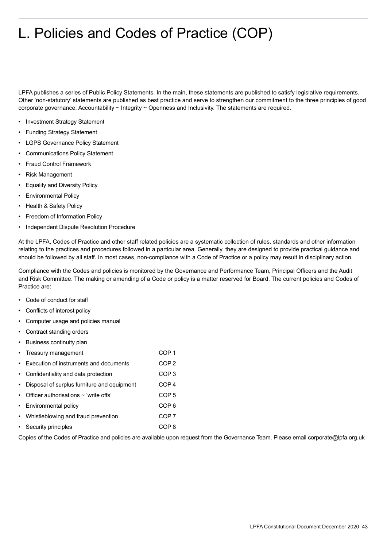# L. Policies and Codes of Practice (COP)

LPFA publishes a series of Public Policy Statements. In the main, these statements are published to satisfy legislative requirements. Other 'non-statutory' statements are published as best practice and serve to strengthen our commitment to the three principles of good corporate governance: Accountability ~ Integrity ~ Openness and Inclusivity. The statements are required.

- Investment Strategy Statement
- Funding Strategy Statement
- LGPS Governance Policy Statement
- Communications Policy Statement
- Fraud Control Framework
- Risk Management
- Equality and Diversity Policy
- Environmental Policy
- Health & Safety Policy
- Freedom of Information Policy
- Independent Dispute Resolution Procedure

At the LPFA, Codes of Practice and other staff related policies are a systematic collection of rules, standards and other information relating to the practices and procedures followed in a particular area. Generally, they are designed to provide practical guidance and should be followed by all staff. In most cases, non-compliance with a Code of Practice or a policy may result in disciplinary action.

Compliance with the Codes and policies is monitored by the Governance and Performance Team, Principal Officers and the Audit and Risk Committee. The making or amending of a Code or policy is a matter reserved for Board. The current policies and Codes of Practice are:

- Code of conduct for staff
- Conflicts of interest policy
- Computer usage and policies manual
- Contract standing orders
- Business continuity plan

| • Treasury management                       | COP 1            |
|---------------------------------------------|------------------|
| Execution of instruments and documents      | COP <sub>2</sub> |
| Confidentiality and data protection         | COP <sub>3</sub> |
| Disposal of surplus furniture and equipment | COP 4            |
| Officer authorisations $\sim$ 'write offs'  | COP <sub>5</sub> |
| • Environmental policy                      | COP 6            |
| Whistleblowing and fraud prevention         | COP 7            |
| Security principles                         | COP 8            |
|                                             |                  |

Copies of the Codes of Practice and policies are available upon request from the Governance Team. Please email corporate@lpfa.org.uk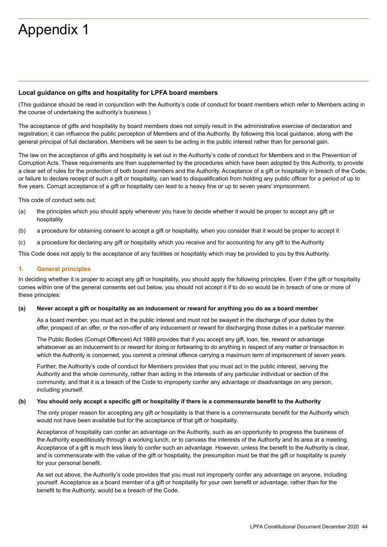# Appendix 1

# **Local guidance on gifts and hospitality for LPFA board members**

(This guidance should be read in conjunction with the Authority's code of conduct for board members which refer to Members acting in the course of undertaking the authority's business.)

The acceptance of gifts and hospitality by board members does not simply result in the administrative exercise of declaration and registration; it can influence the public perception of Members and of the Authority. By following this local guidance, along with the general principal of full declaration, Members will be seen to be acting in the public interest rather than for personal gain.

The law on the acceptance of gifts and hospitality is set out in the Authority's code of conduct for Members and in the Prevention of Corruption Acts. These requirements are then supplemented by the procedures which have been adopted by this Authority, to provide a clear set of rules for the protection of both board members and the Authority. Acceptance of a gift or hospitality in breach of the Code, or failure to declare receipt of such a gift or hospitality, can lead to disqualification from holding any public officer for a period of up to five years. Corrupt acceptance of a gift or hospitality can lead to a heavy fine or up to seven years' imprisonment.

This code of conduct sets out:

- (a) the principles which you should apply whenever you have to decide whether it would be proper to accept any gift or hospitality
- (b) a procedure for obtaining consent to accept a gift or hospitality, when you consider that it would be proper to accept it
- (c) a procedure for declaring any gift or hospitality which you receive and for accounting for any gift to the Authority

This Code does not apply to the acceptance of any facilities or hospitality which may be provided to you by this Authority.

### **1. General principles**

In deciding whether it is proper to accept any gift or hospitality, you should apply the following principles. Even if the gift or hospitality comes within one of the general consents set out below, you should not accept it if to do so would be in breach of one or more of these principles:

#### **(a) Never accept a gift or hospitality as an inducement or reward for anything you do as a board member**

As a board member, you must act in the public interest and must not be swayed in the discharge of your duties by the offer, prospect of an offer, or the non-offer of any inducement or reward for discharging those duties in a particular manner.

The Public Bodies (Corrupt Offences) Act 1889 provides that if you accept any gift, loan, fee, reward or advantage whatsoever as an inducement to or reward for doing or forbearing to do anything in respect of any matter or transaction in which the Authority is concerned, you commit a criminal offence carrying a maximum term of imprisonment of seven years.

Further, the Authority's code of conduct for Members provides that you must act in the public interest, serving the Authority and the whole community, rather than acting in the interests of any particular individual or section of the community, and that it is a breach of the Code to improperly confer any advantage or disadvantage on any person, including yourself.

#### (b) You should only accept a specific gift or hospitality if there is a commensurate benefit to the Authority

The only proper reason for accepting any gift or hospitality is that there is a commensurate benefit for the Authority which would not have been available but for the acceptance of that gift or hospitality.

Acceptance of hospitality can confer an advantage on the Authority, such as an opportunity to progress the business of the Authority expeditiously through a working lunch, or to canvass the interests of the Authority and its area at a meeting. Acceptance of a gift is much less likely to confer such an advantage. However, unless the benefit to the Authority is clear, and is commensurate with the value of the gift or hospitality, the presumption must be that the gift or hospitality is purely for your personal benefit.

As set out above, the Authority's code provides that you must not improperly confer any advantage on anyone, including yourself. Acceptance as a board member of a gift or hospitality for your own benefit or advantage, rather than for the benefit to the Authority, would be a breach of the Code.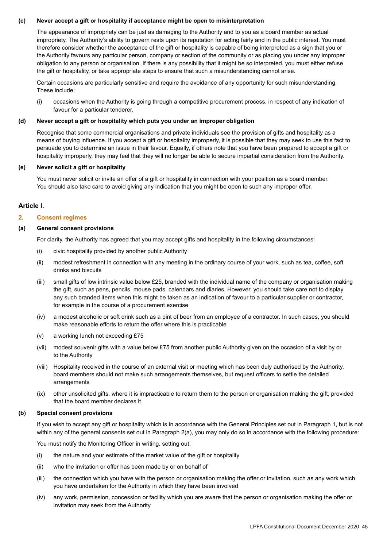#### **(c) Never accept a gift or hospitality if acceptance might be open to misinterpretation**

The appearance of impropriety can be just as damaging to the Authority and to you as a board member as actual impropriety. The Authority's ability to govern rests upon its reputation for acting fairly and in the public interest. You must therefore consider whether the acceptance of the gift or hospitality is capable of being interpreted as a sign that you or the Authority favours any particular person, company or section of the community or as placing you under any improper obligation to any person or organisation. If there is any possibility that it might be so interpreted, you must either refuse the gift or hospitality, or take appropriate steps to ensure that such a misunderstanding cannot arise.

Certain occasions are particularly sensitive and require the avoidance of any opportunity for such misunderstanding. These include:

(i) occasions when the Authority is going through a competitive procurement process, in respect of any indication of favour for a particular tenderer.

#### **(d) Never accept a gift or hospitality which puts you under an improper obligation**

Recognise that some commercial organisations and private individuals see the provision of gifts and hospitality as a means of buying influence. If you accept a gift or hospitality improperly, it is possible that they may seek to use this fact to persuade you to determine an issue in their favour. Equally, if others note that you have been prepared to accept a gift or hospitality improperly, they may feel that they will no longer be able to secure impartial consideration from the Authority.

#### **(e) Never solicit a gift or hospitality**

You must never solicit or invite an offer of a gift or hospitality in connection with your position as a board member. You should also take care to avoid giving any indication that you might be open to such any improper offer.

#### **Article I.**

### **2. Consent regimes**

#### **(a) General consent provisions**

For clarity, the Authority has agreed that you may accept gifts and hospitality in the following circumstances:

- (i) civic hospitality provided by another public Authority
- (ii) modest refreshment in connection with any meeting in the ordinary course of your work, such as tea, coffee, soft drinks and biscuits
- $(iii)$  small gifts of low intrinsic value below £25, branded with the individual name of the company or organisation making the gift, such as pens, pencils, mouse pads, calendars and diaries. However, you should take care not to display any such branded items when this might be taken as an indication of favour to a particular supplier or contractor, for example in the course of a procurement exercise
- (iv) a modest alcoholic or soft drink such as a pint of beer from an employee of a contractor. In such cases, you should make reasonable efforts to return the offer where this is practicable
- (v) a working lunch not exceeding £75
- (vii) modest souvenir gifts with a value below £75 from another public Authority given on the occasion of a visit by or to the Authority
- (viii) Hospitality received in the course of an external visit or meeting which has been duly authorised by the Authority. board members should not make such arrangements themselves, but request officers to settle the detailed arrangements
- (ix) other unsolicited gifts, where it is impracticable to return them to the person or organisation making the gift, provided that the board member declares it

#### **(b) Special consent provisions**

If you wish to accept any gift or hospitality which is in accordance with the General Principles set out in Paragraph 1, but is not within any of the general consents set out in Paragraph 2(a), you may only do so in accordance with the following procedure:

You must notify the Monitoring Officer in writing, setting out:

- (i) the nature and your estimate of the market value of the gift or hospitality
- (ii) who the invitation or offer has been made by or on behalf of
- (iii) the connection which you have with the person or organisation making the offer or invitation, such as any work which you have undertaken for the Authority in which they have been involved
- (iv) any work, permission, concession or facility which you are aware that the person or organisation making the offer or invitation may seek from the Authority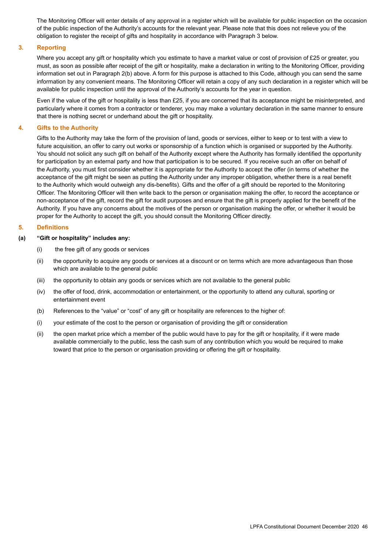The Monitoring Officer will enter details of any approval in a register which will be available for public inspection on the occasion of the public inspection of the Authority's accounts for the relevant year. Please note that this does not relieve you of the obligation to register the receipt of gifts and hospitality in accordance with Paragraph 3 below.

# **3. Reporting**

Where you accept any gift or hospitality which you estimate to have a market value or cost of provision of £25 or greater, you must, as soon as possible after receipt of the gift or hospitality, make a declaration in writing to the Monitoring Officer, providing information set out in Paragraph 2(b) above. A form for this purpose is attached to this Code, although you can send the same information by any convenient means. The Monitoring Officer will retain a copy of any such declaration in a register which will be available for public inspection until the approval of the Authority's accounts for the year in question.

Even if the value of the gift or hospitality is less than £25, if you are concerned that its acceptance might be misinterpreted, and particularly where it comes from a contractor or tenderer, you may make a voluntary declaration in the same manner to ensure that there is nothing secret or underhand about the gift or hospitality.

### **4. Gifts to the Authority**

Gifts to the Authority may take the form of the provision of land, goods or services, either to keep or to test with a view to future acquisition, an offer to carry out works or sponsorship of a function which is organised or supported by the Authority. You should not solicit any such gift on behalf of the Authority except where the Authority has formally identified the opportunity for participation by an external party and how that participation is to be secured. If you receive such an offer on behalf of the Authority, you must first consider whether it is appropriate for the Authority to accept the offer (in terms of whether the acceptance of the gift might be seen as putting the Authority under any improper obligation, whether there is a real benefit to the Authority which would outweigh any dis-benefits). Gifts and the offer of a gift should be reported to the Monitoring Officer. The Monitoring Officer will then write back to the person or organisation making the offer, to record the acceptance or non-acceptance of the gift, record the gift for audit purposes and ensure that the gift is properly applied for the benefit of the Authority. If you have any concerns about the motives of the person or organisation making the offer, or whether it would be proper for the Authority to accept the gift, you should consult the Monitoring Officer directly.

## **5. Definitions**

### **(a) "Gift or hospitality" includes any:**

- (i) the free gift of any goods or services
- (ii) the opportunity to acquire any goods or services at a discount or on terms which are more advantageous than those which are available to the general public
- (iii) the opportunity to obtain any goods or services which are not available to the general public
- (iv) the offer of food, drink, accommodation or entertainment, or the opportunity to attend any cultural, sporting or entertainment event
- (b) References to the "value" or "cost" of any gift or hospitality are references to the higher of:
- (i) your estimate of the cost to the person or organisation of providing the gift or consideration
- (ii) the open market price which a member of the public would have to pay for the gift or hospitality, if it were made available commercially to the public, less the cash sum of any contribution which you would be required to make toward that price to the person or organisation providing or offering the gift or hospitality.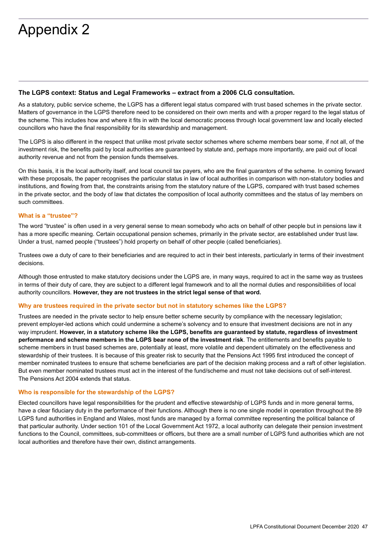## **The LGPS context: Status and Legal Frameworks – extract from a 2006 CLG consultation.**

As a statutory, public service scheme, the LGPS has a different legal status compared with trust based schemes in the private sector. Matters of governance in the LGPS therefore need to be considered on their own merits and with a proper regard to the legal status of the scheme. This includes how and where it fits in with the local democratic process through local government law and locally elected councillors who have the final responsibility for its stewardship and management.

The LGPS is also different in the respect that unlike most private sector schemes where scheme members bear some, if not all, of the investment risk, the benefits paid by local authorities are guaranteed by statute and, perhaps more importantly, are paid out of local authority revenue and not from the pension funds themselves.

On this basis, it is the local authority itself, and local council tax payers, who are the final guarantors of the scheme. In coming forward with these proposals, the paper recognises the particular status in law of local authorities in comparison with non-statutory bodies and institutions, and flowing from that, the constraints arising from the statutory nature of the LGPS, compared with trust based schemes in the private sector, and the body of law that dictates the composition of local authority committees and the status of lay members on such committees.

### **What is a "trustee"?**

The word "trustee" is often used in a very general sense to mean somebody who acts on behalf of other people but in pensions law it has a more specific meaning. Certain occupational pension schemes, primarily in the private sector, are established under trust law. Under a trust, named people ("trustees") hold property on behalf of other people (called beneficiaries).

Trustees owe a duty of care to their beneficiaries and are required to act in their best interests, particularly in terms of their investment decisions.

Although those entrusted to make statutory decisions under the LGPS are, in many ways, required to act in the same way as trustees in terms of their duty of care, they are subject to a different legal framework and to all the normal duties and responsibilities of local authority councillors. **However, they are not trustees in the strict legal sense of that word.**

#### **Why are trustees required in the private sector but not in statutory schemes like the LGPS?**

Trustees are needed in the private sector to help ensure better scheme security by compliance with the necessary legislation; prevent employer-led actions which could undermine a scheme's solvency and to ensure that investment decisions are not in any way imprudent. However, in a statutory scheme like the LGPS, benefits are quaranteed by statute, regardless of investment **performance and scheme members in the LGPS bear none of the investment risk**. The entitlements and benefits payable to scheme members in trust based schemes are, potentially at least, more volatile and dependent ultimately on the effectiveness and stewardship of their trustees. It is because of this greater risk to security that the Pensions Act 1995 first introduced the concept of member nominated trustees to ensure that scheme beneficiaries are part of the decision making process and a raft of other legislation. But even member nominated trustees must act in the interest of the fund/scheme and must not take decisions out of self-interest. The Pensions Act 2004 extends that status.

### **Who is responsible for the stewardship of the LGPS?**

Elected councillors have legal responsibilities for the prudent and effective stewardship of LGPS funds and in more general terms, have a clear fiduciary duty in the performance of their functions. Although there is no one single model in operation throughout the 89 LGPS fund authorities in England and Wales, most funds are managed by a formal committee representing the political balance of that particular authority. Under section 101 of the Local Government Act 1972, a local authority can delegate their pension investment functions to the Council, committees, sub-committees or officers, but there are a small number of LGPS fund authorities which are not local authorities and therefore have their own, distinct arrangements.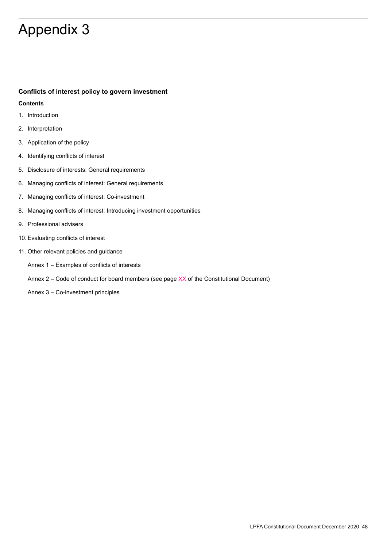# Appendix 3

# **Conflicts of interest policy to govern investment**

### **Contents**

- 1. Introduction
- 2. Interpretation
- 3. Application of the policy
- 4. Identifying conflicts of interest
- 5. Disclosure of interests: General requirements
- 6. Managing conflicts of interest: General requirements
- 7. Managing conflicts of interest: Co-investment
- 8. Managing conflicts of interest: Introducing investment opportunities
- 9. Professional advisers
- 10. Evaluating conflicts of interest
- 11. Other relevant policies and guidance
	- Annex 1 Examples of conflicts of interests
	- Annex 2 Code of conduct for board members (see page XX of the Constitutional Document)
	- Annex 3 Co-investment principles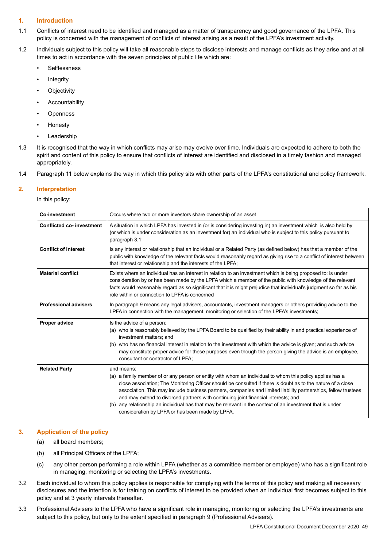# **1. Introduction**

- 1.1 Conflicts of interest need to be identified and managed as a matter of transparency and good governance of the LPFA. This policy is concerned with the management of conflicts of interest arising as a result of the LPFA's investment activity.
- 1.2 Individuals subject to this policy will take all reasonable steps to disclose interests and manage conflicts as they arise and at all times to act in accordance with the seven principles of public life which are:
	- Selflessness
	- **Integrity**
	- **Objectivity**
	- **Accountability**
	- **Openness**
	- **Honesty**
	- Leadership
- 1.3 It is recognised that the way in which conflicts may arise may evolve over time. Individuals are expected to adhere to both the spirit and content of this policy to ensure that conflicts of interest are identified and disclosed in a timely fashion and managed appropriately.
- 1.4 Paragraph 11 below explains the way in which this policy sits with other parts of the LPFA's constitutional and policy framework.

### **2. Interpretation**

In this policy:

| Co-investment                   | Occurs where two or more investors share ownership of an asset                                                                                                                                                                                                                                                                                                                                                                                                                                                                                                                                                |
|---------------------------------|---------------------------------------------------------------------------------------------------------------------------------------------------------------------------------------------------------------------------------------------------------------------------------------------------------------------------------------------------------------------------------------------------------------------------------------------------------------------------------------------------------------------------------------------------------------------------------------------------------------|
| <b>Conflicted co-investment</b> | A situation in which LPFA has invested in (or is considering investing in) an investment which is also held by<br>(or which is under consideration as an investment for) an individual who is subject to this policy pursuant to<br>paragraph 3.1;                                                                                                                                                                                                                                                                                                                                                            |
| <b>Conflict of interest</b>     | Is any interest or relationship that an individual or a Related Party (as defined below) has that a member of the<br>public with knowledge of the relevant facts would reasonably regard as giving rise to a conflict of interest between<br>that interest or relationship and the interests of the LPFA;                                                                                                                                                                                                                                                                                                     |
| <b>Material conflict</b>        | Exists where an individual has an interest in relation to an investment which is being proposed to; is under<br>consideration by or has been made by the LPFA which a member of the public with knowledge of the relevant<br>facts would reasonably regard as so significant that it is might prejudice that individual's judgment so far as his<br>role within or connection to LPFA is concerned                                                                                                                                                                                                            |
| <b>Professional advisers</b>    | In paragraph 9 means any legal advisers, accountants, investment managers or others providing advice to the<br>LPFA in connection with the management, monitoring or selection of the LPFA's investments;                                                                                                                                                                                                                                                                                                                                                                                                     |
| <b>Proper advice</b>            | Is the advice of a person:<br>(a) who is reasonably believed by the LPFA Board to be qualified by their ability in and practical experience of<br>investment matters; and<br>(b) who has no financial interest in relation to the investment with which the advice is given; and such advice<br>may constitute proper advice for these purposes even though the person giving the advice is an employee,<br>consultant or contractor of LPFA;                                                                                                                                                                 |
| <b>Related Party</b>            | and means:<br>(a) a family member of or any person or entity with whom an individual to whom this policy applies has a<br>close association; The Monitoring Officer should be consulted if there is doubt as to the nature of a close<br>association. This may include business partners, companies and limited liability partnerships, fellow trustees<br>and may extend to divorced partners with continuing joint financial interests; and<br>(b) any relationship an individual has that may be relevant in the context of an investment that is under<br>consideration by LPFA or has been made by LPFA. |

### **3. Application of the policy**

- (a) all board members;
- (b) all Principal Officers of the LPFA;
- (c) any other person performing a role within LPFA (whether as a committee member or employee) who has a significant role in managing, monitoring or selecting the LPFA's investments.
- 3.2 Each individual to whom this policy applies is responsible for complying with the terms of this policy and making all necessary disclosures and the intention is for training on conflicts of interest to be provided when an individual first becomes subject to this policy and at 3 yearly intervals thereafter.
- 3.3 Professional Advisers to the LPFA who have a significant role in managing, monitoring or selecting the LPFA's investments are subject to this policy, but only to the extent specified in paragraph 9 (Professional Advisers).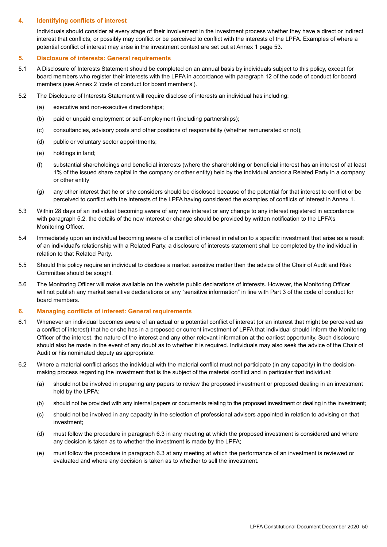#### **4. Identifying conflicts of interest**

Individuals should consider at every stage of their involvement in the investment process whether they have a direct or indirect interest that conflicts, or possibly may conflict or be perceived to conflict with the interests of the LPFA. Examples of where a potential conflict of interest may arise in the investment context are set out at Annex 1 page 53.

#### **5. Disclosure of interests: General requirements**

- 5.1 A Disclosure of Interests Statement should be completed on an annual basis by individuals subject to this policy, except for board members who register their interests with the LPFA in accordance with paragraph 12 of the code of conduct for board members (see Annex 2 'code of conduct for board members').
- 5.2 The Disclosure of Interests Statement will require disclose of interests an individual has including:
	- (a) executive and non-executive directorships;
	- (b) paid or unpaid employment or self-employment (including partnerships);
	- (c) consultancies, advisory posts and other positions of responsibility (whether remunerated or not);
	- (d) public or voluntary sector appointments;
	- (e) holdings in land;
	- (f) substantial shareholdings and beneficial interests (where the shareholding or beneficial interest has an interest of at least 1% of the issued share capital in the company or other entity) held by the individual and/or a Related Party in a company or other entity
	- (g) any other interest that he or she considers should be disclosed because of the potential for that interest to conflict or be perceived to conflict with the interests of the LPFA having considered the examples of conflicts of interest in Annex 1.
- 5.3 Within 28 days of an individual becoming aware of any new interest or any change to any interest registered in accordance with paragraph 5.2, the details of the new interest or change should be provided by written notification to the LPFA's Monitoring Officer.
- 5.4 Immediately upon an individual becoming aware of a conflict of interest in relation to a specific investment that arise as a result of an individual's relationship with a Related Party, a disclosure of interests statement shall be completed by the individual in relation to that Related Party.
- 5.5 Should this policy require an individual to disclose a market sensitive matter then the advice of the Chair of Audit and Risk Committee should be sought.
- 5.6 The Monitoring Officer will make available on the website public declarations of interests. However, the Monitoring Officer will not publish any market sensitive declarations or any "sensitive information" in line with Part 3 of the code of conduct for board members.

### **6. Managing conflicts of interest: General requirements**

- 6.1 Whenever an individual becomes aware of an actual or a potential conflict of interest (or an interest that might be perceived as a conflict of interest) that he or she has in a proposed or current investment of LPFA that individual should inform the Monitoring Officer of the interest, the nature of the interest and any other relevant information at the earliest opportunity. Such disclosure should also be made in the event of any doubt as to whether it is required. Individuals may also seek the advice of the Chair of Audit or his nominated deputy as appropriate.
- 6.2 Where a material conflict arises the individual with the material conflict must not participate (in any capacity) in the decisionmaking process regarding the investment that is the subject of the material conflict and in particular that individual:
	- (a) should not be involved in preparing any papers to review the proposed investment or proposed dealing in an investment held by the LPFA;
	- (b) should not be provided with any internal papers or documents relating to the proposed investment or dealing in the investment;
	- (c) should not be involved in any capacity in the selection of professional advisers appointed in relation to advising on that investment;
	- (d) must follow the procedure in paragraph 6.3 in any meeting at which the proposed investment is considered and where any decision is taken as to whether the investment is made by the LPFA;
	- (e) must follow the procedure in paragraph 6.3 at any meeting at which the performance of an investment is reviewed or evaluated and where any decision is taken as to whether to sell the investment.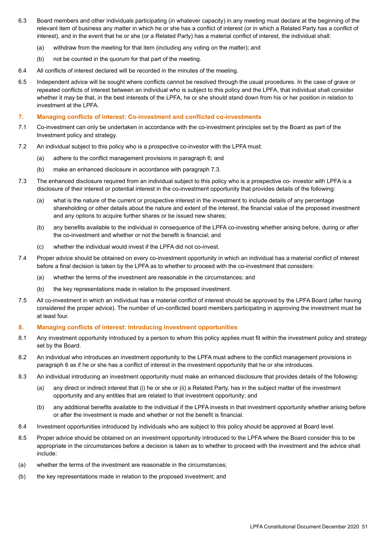- 6.3 Board members and other individuals participating (in whatever capacity) in any meeting must declare at the beginning of the relevant item of business any matter in which he or she has a conflict of interest (or in which a Related Party has a conflict of interest), and in the event that he or she (or a Related Party) has a material conflict of interest, the individual shall:
	- (a) withdraw from the meeting for that item (including any voting on the matter); and
	- (b) not be counted in the quorum for that part of the meeting.
- 6.4 All conflicts of interest declared will be recorded in the minutes of the meeting.
- 6.5 Independent advice will be sought where conflicts cannot be resolved through the usual procedures. In the case of grave or repeated conflicts of interest between an individual who is subject to this policy and the LPFA, that individual shall consider whether it may be that, in the best interests of the LPFA, he or she should stand down from his or her position in relation to investment at the LPFA.

#### **7. Managing conflicts of interest: Co-investment and conflicted co-investments**

- 7.1 Co-investment can only be undertaken in accordance with the co-investment principles set by the Board as part of the Investment policy and strategy.
- 7.2 An individual subject to this policy who is a prospective co-investor with the LPFA must:
	- (a) adhere to the conflict management provisions in paragraph 6; and
	- (b) make an enhanced disclosure in accordance with paragraph 7.3.
- 7.3 The enhanced disclosure required from an individual subject to this policy who is a prospective co- investor with LPFA is a disclosure of their interest or potential interest in the co-investment opportunity that provides details of the following:
	- (a) what is the nature of the current or prospective interest in the investment to include details of any percentage shareholding or other details about the nature and extent of the interest, the financial value of the proposed investment and any options to acquire further shares or be issued new shares;
	- (b) any benefits available to the individual in consequence of the LPFA co-investing whether arising before, during or after the co-investment and whether or not the benefit is financial; and
	- (c) whether the individual would invest if the LPFA did not co-invest.
- 7.4 Proper advice should be obtained on every co-investment opportunity in which an individual has a material conflict of interest before a final decision is taken by the LPFA as to whether to proceed with the co-investment that considers:
	- (a) whether the terms of the investment are reasonable in the circumstances; and
	- (b) the key representations made in relation to the proposed investment.
- 7.5 All co-investment in which an individual has a material conflict of interest should be approved by the LPFA Board (after having considered the proper advice). The number of un-conflicted board members participating in approving the investment must be at least four.

### **8. Managing conflicts of interest: Introducing investment opportunities**

- 8.1 Any investment opportunity introduced by a person to whom this policy applies must fit within the investment policy and strategy set by the Board.
- 8.2 An individual who introduces an investment opportunity to the LPFA must adhere to the conflict management provisions in paragraph 6 as if he or she has a conflict of interest in the investment opportunity that he or she introduces.
- 8.3 An individual introducing an investment opportunity must make an enhanced disclosure that provides details of the following:
	- (a) any direct or indirect interest that (i) he or she or (ii) a Related Party, has in the subject matter of the investment opportunity and any entities that are related to that investment opportunity; and
	- (b) any additional benefits available to the individual if the LPFA invests in that investment opportunity whether arising before or after the investment is made and whether or not the benefit is financial.
- 8.4 Investment opportunities introduced by individuals who are subject to this policy should be approved at Board level.
- 8.5 Proper advice should be obtained on an investment opportunity introduced to the LPFA where the Board consider this to be appropriate in the circumstances before a decision is taken as to whether to proceed with the investment and the advice shall include:
- (a) whether the terms of the investment are reasonable in the circumstances;
- (b) the key representations made in relation to the proposed investment; and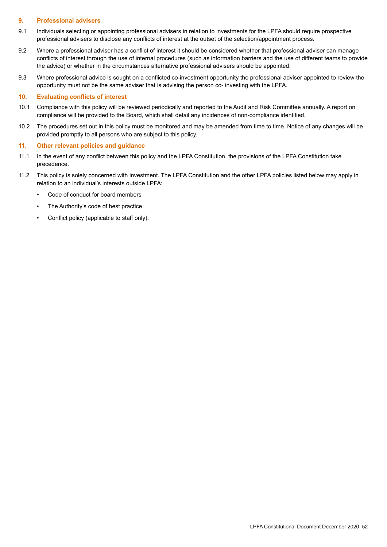#### **9. Professional advisers**

- 9.1 Individuals selecting or appointing professional advisers in relation to investments for the LPFA should require prospective professional advisers to disclose any conflicts of interest at the outset of the selection/appointment process.
- 9.2 Where a professional adviser has a conflict of interest it should be considered whether that professional adviser can manage conflicts of interest through the use of internal procedures (such as information barriers and the use of different teams to provide the advice) or whether in the circumstances alternative professional advisers should be appointed.
- 9.3 Where professional advice is sought on a conflicted co-investment opportunity the professional adviser appointed to review the opportunity must not be the same adviser that is advising the person co- investing with the LPFA.

#### **10. Evaluating conflicts of interest**

- 10.1 Compliance with this policy will be reviewed periodically and reported to the Audit and Risk Committee annually. A report on compliance will be provided to the Board, which shall detail any incidences of non-compliance identified.
- 10.2 The procedures set out in this policy must be monitored and may be amended from time to time. Notice of any changes will be provided promptly to all persons who are subject to this policy.

#### **11. Other relevant policies and guidance**

- 11.1 In the event of any conflict between this policy and the LPFA Constitution, the provisions of the LPFA Constitution take precedence.
- 11.2 This policy is solely concerned with investment. The LPFA Constitution and the other LPFA policies listed below may apply in relation to an individual's interests outside LPFA:
	- Code of conduct for board members
	- The Authority's code of best practice
	- Conflict policy (applicable to staff only).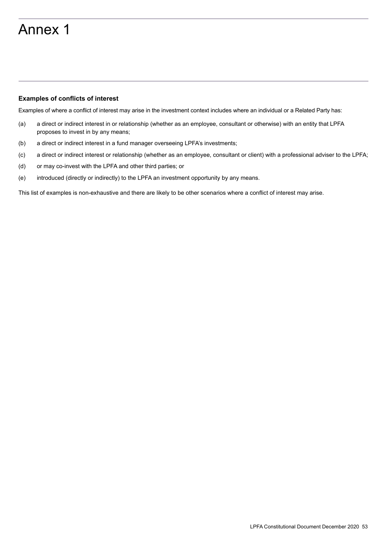# Annex 1

# **Examples of conflicts of interest**

Examples of where a conflict of interest may arise in the investment context includes where an individual or a Related Party has:

- (a) a direct or indirect interest in or relationship (whether as an employee, consultant or otherwise) with an entity that LPFA proposes to invest in by any means;
- (b) a direct or indirect interest in a fund manager overseeing LPFA's investments;
- (c) a direct or indirect interest or relationship (whether as an employee, consultant or client) with a professional adviser to the LPFA;
- (d) or may co-invest with the LPFA and other third parties; or
- (e) introduced (directly or indirectly) to the LPFA an investment opportunity by any means.

This list of examples is non-exhaustive and there are likely to be other scenarios where a conflict of interest may arise.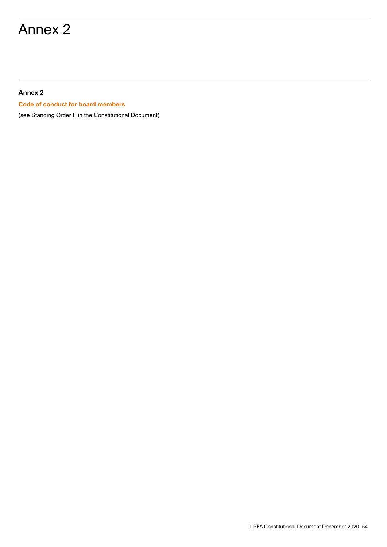# Annex 2

# **Annex 2**

**Code of conduct for board members**

(see Standing Order F in the Constitutional Document)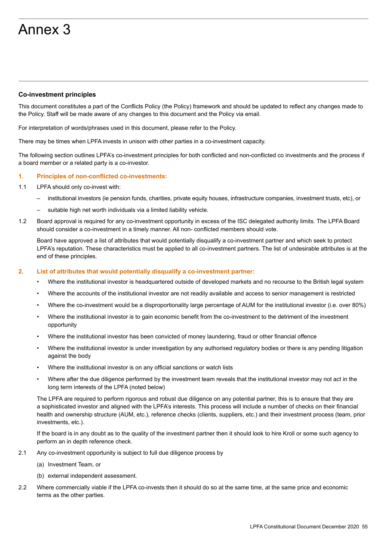## **Co-investment principles**

This document constitutes a part of the Conflicts Policy (the Policy) framework and should be updated to reflect any changes made to the Policy. Staff will be made aware of any changes to this document and the Policy via email.

For interpretation of words/phrases used in this document, please refer to the Policy.

There may be times when LPFA invests in unison with other parties in a co-investment capacity.

The following section outlines LPFA's co-investment principles for both conflicted and non-conflicted co investments and the process if a board member or a related party is a co-investor.

### **1. Principles of non-conflicted co-investments:**

- 1.1 LPFA should only co-invest with:
	- institutional investors (ie pension funds, charities, private equity houses, infrastructure companies, investment trusts, etc), or
	- suitable high net worth individuals via a limited liability vehicle.
- 1.2 Board approval is required for any co-investment opportunity in excess of the ISC delegated authority limits. The LPFA Board should consider a co-investment in a timely manner. All non- conflicted members should vote.

Board have approved a list of attributes that would potentially disqualify a co-investment partner and which seek to protect LPFA's reputation. These characteristics must be applied to all co-investment partners. The list of undesirable attributes is at the end of these principles.

#### **2. List of attributes that would potentially disqualify a co-investment partner:**

- Where the institutional investor is headquartered outside of developed markets and no recourse to the British legal system
- Where the accounts of the institutional investor are not readily available and access to senior management is restricted
- Where the co-investment would be a disproportionality large percentage of AUM for the institutional investor (i.e. over 80%)
- Where the institutional investor is to gain economic benefit from the co-investment to the detriment of the investment opportunity
- Where the institutional investor has been convicted of money laundering, fraud or other financial offence
- Where the institutional investor is under investigation by any authorised regulatory bodies or there is any pending litigation against the body
- Where the institutional investor is on any official sanctions or watch lists
- Where after the due diligence performed by the investment team reveals that the institutional investor may not act in the long term interests of the LPFA (noted below)

The LPFA are required to perform rigorous and robust due diligence on any potential partner, this is to ensure that they are a sophisticated investor and aligned with the LPFA's interests. This process will include a number of checks on their financial health and ownership structure (AUM, etc.), reference checks (clients, suppliers, etc.) and their investment process (team, prior investments, etc.).

If the board is in any doubt as to the quality of the investment partner then it should look to hire Kroll or some such agency to perform an in depth reference check.

- 2.1 Any co-investment opportunity is subject to full due diligence process by
	- (a) Investment Team, or
	- (b) external independent assessment.
- 2.2 Where commercially viable if the LPFA co-invests then it should do so at the same time, at the same price and economic terms as the other parties.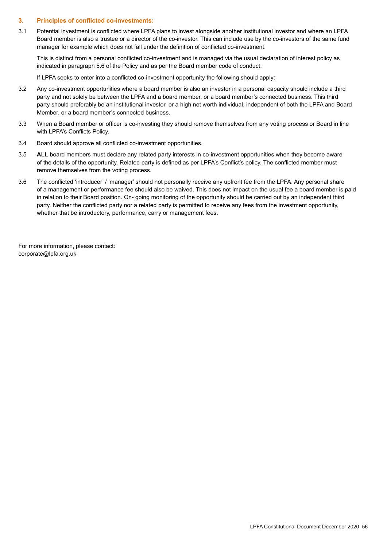#### **3. Principles of conflicted co-investments:**

3.1 Potential investment is conflicted where LPFA plans to invest alongside another institutional investor and where an LPFA Board member is also a trustee or a director of the co-investor. This can include use by the co-investors of the same fund manager for example which does not fall under the definition of conflicted co-investment.

This is distinct from a personal conflicted co-investment and is managed via the usual declaration of interest policy as indicated in paragraph 5.6 of the Policy and as per the Board member code of conduct.

If LPFA seeks to enter into a conflicted co-investment opportunity the following should apply:

- 3.2 Any co-investment opportunities where a board member is also an investor in a personal capacity should include a third party and not solely be between the LPFA and a board member, or a board member's connected business. This third party should preferably be an institutional investor, or a high net worth individual, independent of both the LPFA and Board Member, or a board member's connected business.
- 3.3 When a Board member or officer is co-investing they should remove themselves from any voting process or Board in line with LPFA's Conflicts Policy.
- 3.4 Board should approve all conflicted co-investment opportunities.
- 3.5 **ALL** board members must declare any related party interests in co-investment opportunities when they become aware of the details of the opportunity. Related party is defined as per LPFA's Conflict's policy. The conflicted member must remove themselves from the voting process.
- 3.6 The conflicted 'introducer' / 'manager' should not personally receive any upfront fee from the LPFA. Any personal share of a management or performance fee should also be waived. This does not impact on the usual fee a board member is paid in relation to their Board position. On- going monitoring of the opportunity should be carried out by an independent third party. Neither the conflicted party nor a related party is permitted to receive any fees from the investment opportunity, whether that be introductory, performance, carry or management fees.

For more information, please contact: corporate@lpfa.org.uk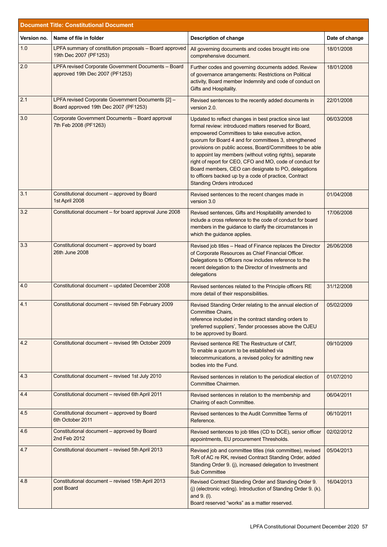| <b>Document Title: Constitutional Document</b> |                                                                                            |                                                                                                                                                                                                                                                                                                                                                                                                                                                                                                                                                                     |                |
|------------------------------------------------|--------------------------------------------------------------------------------------------|---------------------------------------------------------------------------------------------------------------------------------------------------------------------------------------------------------------------------------------------------------------------------------------------------------------------------------------------------------------------------------------------------------------------------------------------------------------------------------------------------------------------------------------------------------------------|----------------|
| Version no.                                    | Name of file in folder                                                                     | <b>Description of change</b>                                                                                                                                                                                                                                                                                                                                                                                                                                                                                                                                        | Date of change |
| 1.0                                            | LPFA summary of constitution proposals - Board approved<br>19th Dec 2007 (PF1253)          | All governing documents and codes brought into one<br>comprehensive document.                                                                                                                                                                                                                                                                                                                                                                                                                                                                                       | 18/01/2008     |
| 2.0                                            | LPFA revised Corporate Government Documents - Board<br>approved 19th Dec 2007 (PF1253)     | Further codes and governing documents added. Review<br>of governance arrangements: Restrictions on Political<br>activity, Board member Indemnity and code of conduct on<br>Gifts and Hospitality.                                                                                                                                                                                                                                                                                                                                                                   | 18/01/2008     |
| 2.1                                            | LPFA revised Corporate Government Documents [2] -<br>Board approved 19th Dec 2007 (PF1253) | Revised sentences to the recently added documents in<br>version 2.0.                                                                                                                                                                                                                                                                                                                                                                                                                                                                                                | 22/01/2008     |
| 3.0                                            | Corporate Government Documents - Board approval<br>7th Feb 2008 (PF1263)                   | Updated to reflect changes in best practice since last<br>formal review: introduced matters reserved for Board,<br>empowered Committees to take executive action,<br>quorum for Board 4 and for committees 3, strengthened<br>provisions on public access, Board/Committees to be able<br>to appoint lay members (without voting rights), separate<br>right of report for CEO, CFO and MO, code of conduct for<br>Board members, CEO can designate to PO, delegations<br>to officers backed up by a code of practice, Contract<br><b>Standing Orders introduced</b> | 06/03/2008     |
| 3.1                                            | Constitutional document - approved by Board<br>1st April 2008                              | Revised sentences to the recent changes made in<br>version 3.0                                                                                                                                                                                                                                                                                                                                                                                                                                                                                                      | 01/04/2008     |
| 3.2                                            | Constitutional document - for board approval June 2008                                     | Revised sentences, Gifts and Hospitability amended to<br>include a cross reference to the code of conduct for board<br>members in the guidance to clarify the circumstances in<br>which the guidance applies.                                                                                                                                                                                                                                                                                                                                                       | 17/06/2008     |
| 3.3                                            | Constitutional document - approved by board<br>26th June 2008                              | Revised job titles - Head of Finance replaces the Director<br>of Corporate Resources as Chief Financial Officer.<br>Delegations to Officers now includes reference to the<br>recent delegation to the Director of Investments and<br>delegations                                                                                                                                                                                                                                                                                                                    | 26/06/2008     |
| 4.0                                            | Constitutional document - updated December 2008                                            | Revised sentences related to the Principle officers RE<br>more detail of their responsibilities.                                                                                                                                                                                                                                                                                                                                                                                                                                                                    | 31/12/2008     |
| 4.1                                            | Constitutional document - revised 5th February 2009                                        | Revised Standing Order relating to the annual election of<br>Committee Chairs,<br>reference included in the contract standing orders to<br>'preferred suppliers', Tender processes above the OJEU<br>to be approved by Board.                                                                                                                                                                                                                                                                                                                                       | 05/02/2009     |
| 4.2                                            | Constitutional document - revised 9th October 2009                                         | Revised sentence RE The Restructure of CMT,<br>To enable a quorum to be established via<br>telecommunications, a revised policy for admitting new<br>bodies into the Fund.                                                                                                                                                                                                                                                                                                                                                                                          | 09/10/2009     |
| 4.3                                            | Constitutional document - revised 1st July 2010                                            | Revised sentences in relation to the periodical election of<br>Committee Chairmen.                                                                                                                                                                                                                                                                                                                                                                                                                                                                                  | 01/07/2010     |
| 4.4                                            | Constitutional document - revised 6th April 2011                                           | Revised sentences in relation to the membership and<br>Chairing of each Committee.                                                                                                                                                                                                                                                                                                                                                                                                                                                                                  | 06/04/2011     |
| 4.5                                            | Constitutional document - approved by Board<br>6th October 2011                            | Revised sentences to the Audit Committee Terms of<br>Reference.                                                                                                                                                                                                                                                                                                                                                                                                                                                                                                     | 06/10/2011     |
| 4.6                                            | Constitutional document - approved by Board<br>2nd Feb 2012                                | Revised sentences to job titles (CD to DCE), senior officer<br>appointments, EU procurement Thresholds.                                                                                                                                                                                                                                                                                                                                                                                                                                                             | 02/02/2012     |
| 4.7                                            | Constitutional document - revised 5th April 2013                                           | Revised job and committee titles (risk committee), revised<br>ToR of AC re RK, revised Contract Standing Order, added<br>Standing Order 9. (j), increased delegation to Investment<br>Sub Committee                                                                                                                                                                                                                                                                                                                                                                 | 05/04/2013     |
| 4.8                                            | Constitutional document - revised 15th April 2013<br>post Board                            | Revised Contract Standing Order and Standing Order 9.<br>(j) (electronic voting). Introduction of Standing Order 9. (k).<br>and 9. (I).<br>Board reserved "works" as a matter reserved.                                                                                                                                                                                                                                                                                                                                                                             | 16/04/2013     |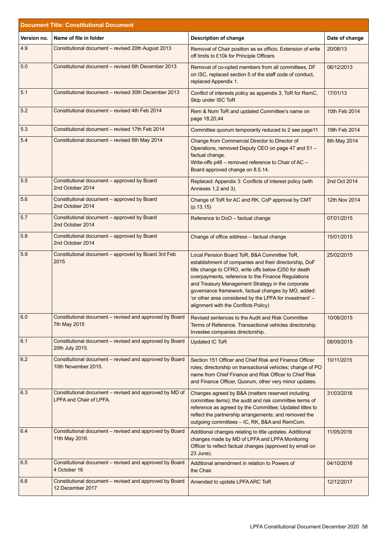| <b>Document Title: Constitutional Document</b> |                                                                                    |                                                                                                                                                                                                                                                                                                                                                                                                                                     |                |
|------------------------------------------------|------------------------------------------------------------------------------------|-------------------------------------------------------------------------------------------------------------------------------------------------------------------------------------------------------------------------------------------------------------------------------------------------------------------------------------------------------------------------------------------------------------------------------------|----------------|
| Version no.                                    | Name of file in folder                                                             | <b>Description of change</b>                                                                                                                                                                                                                                                                                                                                                                                                        | Date of change |
| 4.9                                            | Constitutional document - revised 20th August 2013                                 | Removal of Chair position as ex officio. Extension of write<br>off limits to £10k for Principle Officers                                                                                                                                                                                                                                                                                                                            | 20/08/13       |
| 5.0                                            | Constitutional document - revised 6th December 2013                                | Removal of co-opted members from all committees, DF<br>on ISC, replaced section 5 of the staff code of conduct,<br>replaced Appendix 1.                                                                                                                                                                                                                                                                                             | 06/12/2013     |
| 5.1                                            | Constitutional document - revised 30th December 2013                               | Conflict of interests policy as appendix 3, ToR for RemC,<br>Skip under ISC ToR                                                                                                                                                                                                                                                                                                                                                     | 17/01/13       |
| 5.2                                            | Constitutional document - revised 4th Feb 2014                                     | Rem & Nom ToR and updated Committee's name on<br>page 18,20,44                                                                                                                                                                                                                                                                                                                                                                      | 10th Feb 2014  |
| 5.3                                            | Constitutional document - revised 17th Feb 2014                                    | Committee quorum temporarily reduced to 2 see page11                                                                                                                                                                                                                                                                                                                                                                                | 19th Feb 2014  |
| 54                                             | Constitutional document - revised 8th May 2014                                     | Change from Commercial Director to Director of<br>Operations, removed Deputy CEO on page 47 and 51 -<br>factual change.<br>Write-offs p48 - removed reference to Chair of AC -<br>Board approved change on 8.5.14.                                                                                                                                                                                                                  | 8th May 2014   |
| 55                                             | Constitutional document - approved by Board<br>2nd October 2014                    | Replaced: Appendix 3: Conflicts of interest policy (with<br>Annexes 1,2 and 3).                                                                                                                                                                                                                                                                                                                                                     | 2nd Oct 2014   |
| 5.6                                            | Constitutional document - approved by Board<br>2nd October 2014                    | Change of ToR for AC and RK, CoP approval by CMT<br>(p.13, 15)                                                                                                                                                                                                                                                                                                                                                                      | 12th Nov 2014  |
| 5.7                                            | Constitutional document - approved by Board<br>2nd October 2014                    | Reference to DoO - factual change                                                                                                                                                                                                                                                                                                                                                                                                   | 07/01/2015     |
| 5.8                                            | Constitutional document - approved by Board<br>2nd October 2014                    | Change of office address - factual change                                                                                                                                                                                                                                                                                                                                                                                           | 15/01/2015     |
| 59                                             | Constitutional document - approved by Board 3rd Feb<br>2015                        | Local Pension Board ToR, B&A Committee ToR,<br>establishment of companies and their directorship, DoF<br>title change to CFRO, write offs below £250 for death<br>overpayments, reference to the Finance Regulations<br>and Treasury Management Strategy in the corporate<br>governance framework, factual changes by MO, added:<br>'or other area considered by the LPFA for investment' -<br>alignment with the Conflicts Policy) | 25/02/2015     |
| 6.0                                            | Constitutional document - revised and approved by Board<br>7th May 2015            | Revised sentences to the Audit and Risk Committee<br>Terms of Reference. Transactional vehicles directorship.<br>Investee companies directorship.                                                                                                                                                                                                                                                                                   | 10/06/2015     |
| 6.1                                            | Constitutional document - revised and approved by Board<br>20th July 2015.         | Updated IC ToR                                                                                                                                                                                                                                                                                                                                                                                                                      | 08/09/2015     |
| 6.2                                            | Constitutional document - revised and approved by Board<br>10th November 2015.     | Section 151 Officer and Chief Risk and Finance Officer<br>roles; directorship on transactional vehicles; change of PO<br>name from Chief Finance and Risk Officer to Chief Risk<br>and Finance Officer, Quorum, other very minor updates.                                                                                                                                                                                           | 10/11/2015     |
| 6.3                                            | Constitutional document - revised and approved by MD of<br>LPFA and Chair of LPFA. | Changes agreed by B&A (matters reserved including<br>committee items); the audit and risk committee terms of<br>reference as agreed by the Committee; Updated titles to<br>reflect the partnership arrangements; and removed the<br>outgoing committees - IC, RK, B&A and RemCom.                                                                                                                                                   | 31/03/2016     |
| 6.4                                            | Constitutional document - revised and approved by Board<br>11th May 2016.          | Additional changes relating to title updates. Additional<br>changes made by MD of LPFA and LPFA Monitoring<br>Officer to reflect factual changes (approved by email on<br>23 June).                                                                                                                                                                                                                                                 | 11/05/2016     |
| 6.5                                            | Constitutional document - revised and approved by Board<br>4 October 16            | Additional amendment in relation to Powers of<br>the Chair.                                                                                                                                                                                                                                                                                                                                                                         | 04/10/2016     |
| 6.6                                            | Constitutional document - revised and approved by Board<br>12 December 2017        | Amended to update LPFA ARC ToR                                                                                                                                                                                                                                                                                                                                                                                                      | 12/12/2017     |